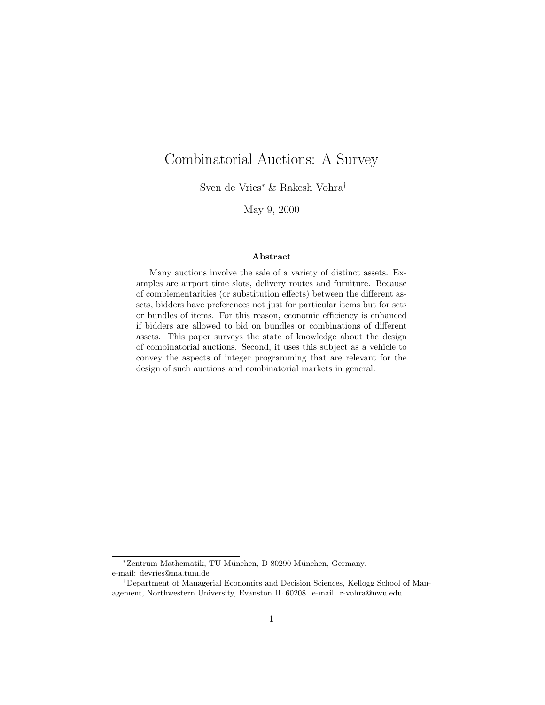# Combinatorial Auctions: A Survey

Sven de Vries<sup>∗</sup> & Rakesh Vohra†

May 9, 2000

#### Abstract

Many auctions involve the sale of a variety of distinct assets. Examples are airport time slots, delivery routes and furniture. Because of complementarities (or substitution effects) between the different assets, bidders have preferences not just for particular items but for sets or bundles of items. For this reason, economic efficiency is enhanced if bidders are allowed to bid on bundles or combinations of different assets. This paper surveys the state of knowledge about the design of combinatorial auctions. Second, it uses this subject as a vehicle to convey the aspects of integer programming that are relevant for the design of such auctions and combinatorial markets in general.

<sup>∗</sup>Zentrum Mathematik, TU M¨unchen, D-80290 M¨unchen, Germany. e-mail: devries@ma.tum.de

<sup>†</sup>Department of Managerial Economics and Decision Sciences, Kellogg School of Management, Northwestern University, Evanston IL 60208. e-mail: r-vohra@nwu.edu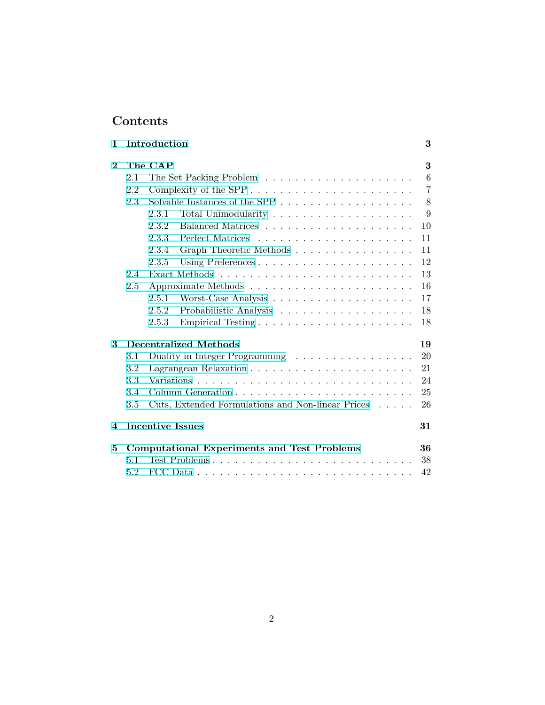# Contents

| 1           |         | Introduction                                                                            | 3              |  |  |  |  |  |  |  |
|-------------|---------|-----------------------------------------------------------------------------------------|----------------|--|--|--|--|--|--|--|
| $\mathbf 2$ | The CAP |                                                                                         |                |  |  |  |  |  |  |  |
|             | $2.1\,$ |                                                                                         |                |  |  |  |  |  |  |  |
|             | 2.2     |                                                                                         | $\overline{7}$ |  |  |  |  |  |  |  |
|             | 2.3     | Solvable Instances of the SPP $\ldots \ldots \ldots \ldots \ldots \ldots$               | 8              |  |  |  |  |  |  |  |
|             |         | 2.3.1                                                                                   | 9              |  |  |  |  |  |  |  |
|             |         | 2.3.2                                                                                   | 10             |  |  |  |  |  |  |  |
|             |         | 2.3.3                                                                                   | 11             |  |  |  |  |  |  |  |
|             |         | 2.3.4<br>Graph Theoretic Methods                                                        | 11             |  |  |  |  |  |  |  |
|             |         | 2.3.5                                                                                   | 12             |  |  |  |  |  |  |  |
|             | 2.4     |                                                                                         |                |  |  |  |  |  |  |  |
|             | 2.5     |                                                                                         | 16             |  |  |  |  |  |  |  |
|             |         | 2.5.1                                                                                   | 17             |  |  |  |  |  |  |  |
|             |         | 2.5.2                                                                                   | 18             |  |  |  |  |  |  |  |
|             |         | 2.5.3                                                                                   | 18             |  |  |  |  |  |  |  |
| 3           |         | <b>Decentralized Methods</b>                                                            | 19             |  |  |  |  |  |  |  |
|             | 3.1     | 20<br>Duality in Integer Programming                                                    |                |  |  |  |  |  |  |  |
|             | 3.2     |                                                                                         |                |  |  |  |  |  |  |  |
|             | 3.3     |                                                                                         |                |  |  |  |  |  |  |  |
|             | 3.4     |                                                                                         | 25             |  |  |  |  |  |  |  |
|             | 3.5     | Cuts, Extended Formulations and Non-linear Prices                                       | 26             |  |  |  |  |  |  |  |
| 4           |         | <b>Incentive Issues</b>                                                                 | 31             |  |  |  |  |  |  |  |
| 5           |         | <b>Computational Experiments and Test Problems</b>                                      | 36             |  |  |  |  |  |  |  |
|             | 5.1     | 38                                                                                      |                |  |  |  |  |  |  |  |
|             | 5.2     | FCC Data $\ldots \ldots \ldots \ldots \ldots \ldots \ldots \ldots \ldots \ldots \ldots$ | 42             |  |  |  |  |  |  |  |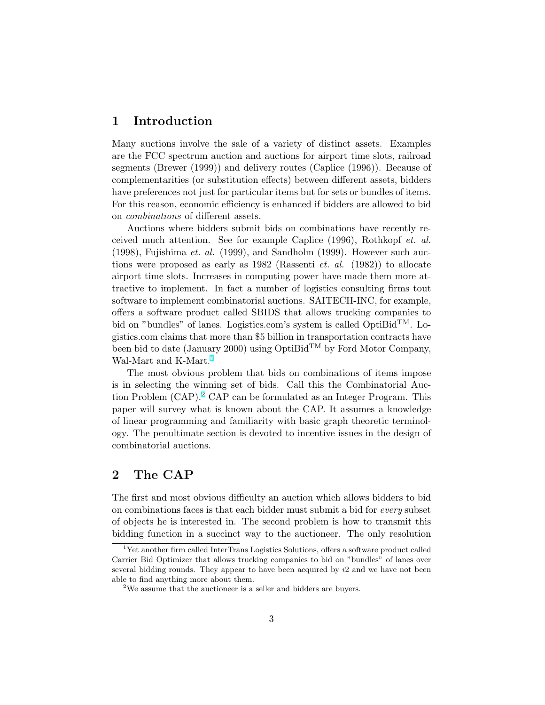# <span id="page-2-0"></span>1 Introduction

Many auctions involve the sale of a variety of distinct assets. Examples are the FCC spectrum auction and auctions for airport time slots, railroad segments (Brewer (1999)) and delivery routes (Caplice (1996)). Because of complementarities (or substitution effects) between different assets, bidders have preferences not just for particular items but for sets or bundles of items. For this reason, economic efficiency is enhanced if bidders are allowed to bid on combinations of different assets.

Auctions where bidders submit bids on combinations have recently received much attention. See for example Caplice (1996), Rothkopf et. al.  $(1998)$ , Fujishima *et. al.*  $(1999)$ , and Sandholm  $(1999)$ . However such auctions were proposed as early as  $1982$  (Rassenti *et. al.* (1982)) to allocate airport time slots. Increases in computing power have made them more attractive to implement. In fact a number of logistics consulting firms tout software to implement combinatorial auctions. SAITECH-INC, for example, offers a software product called SBIDS that allows trucking companies to bid on "bundles" of lanes. Logistics.com's system is called  $\text{OptiBid}^{TM}$ . Logistics.com claims that more than \$5 billion in transportation contracts have been bid to date (January 2000) using OptiBid<sup>TM</sup> by Ford Motor Company, Wal-Mart and K-Mart.<sup>1</sup>

The most obvious problem that bids on combinations of items impose is in selecting the winning set of bids. Call this the Combinatorial Auction Problem  $(CAP)$ .<sup>2</sup> CAP can be formulated as an Integer Program. This paper will survey what is known about the CAP. It assumes a knowledge of linear programming and familiarity with basic graph theoretic terminology. The penultimate section is devoted to incentive issues in the design of combinatorial auctions.

# 2 The CAP

The first and most obvious difficulty an auction which allows bidders to bid on combinations faces is that each bidder must submit a bid for every subset of objects he is interested in. The second problem is how to transmit this bidding function in a succinct way to the auctioneer. The only resolution

 $1$ Yet another firm called InterTrans Logistics Solutions, offers a software product called Carrier Bid Optimizer that allows trucking companies to bid on "bundles" of lanes over several bidding rounds. They appear to have been acquired by  $i2$  and we have not been able to find anything more about them.

<sup>2</sup>We assume that the auctioneer is a seller and bidders are buyers.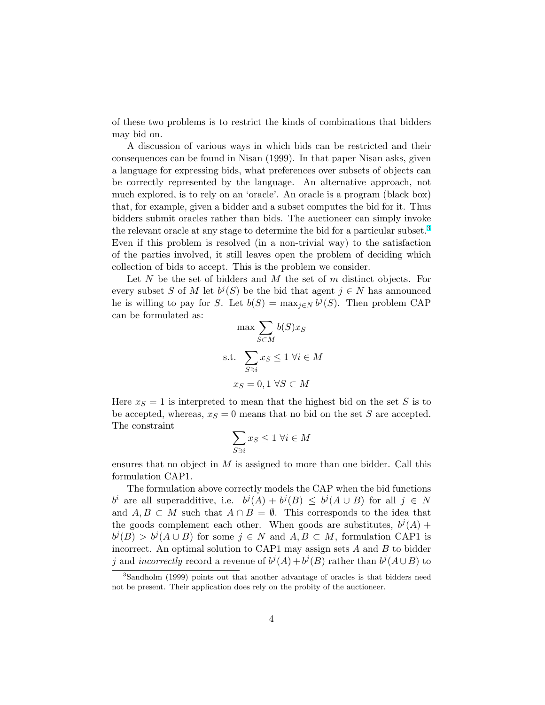of these two problems is to restrict the kinds of combinations that bidders may bid on.

A discussion of various ways in which bids can be restricted and their consequences can be found in Nisan (1999). In that paper Nisan asks, given a language for expressing bids, what preferences over subsets of objects can be correctly represented by the language. An alternative approach, not much explored, is to rely on an 'oracle'. An oracle is a program (black box) that, for example, given a bidder and a subset computes the bid for it. Thus bidders submit oracles rather than bids. The auctioneer can simply invoke the relevant oracle at any stage to determine the bid for a particular subset.<sup>3</sup> Even if this problem is resolved (in a non-trivial way) to the satisfaction of the parties involved, it still leaves open the problem of deciding which collection of bids to accept. This is the problem we consider.

Let  $N$  be the set of bidders and  $M$  the set of  $m$  distinct objects. For every subset S of M let  $b^j(S)$  be the bid that agent  $j \in N$  has announced he is willing to pay for S. Let  $b(S) = \max_{j \in N} b^{j}(S)$ . Then problem CAP can be formulated as:

$$
\max \sum_{S \subset M} b(S)x_S
$$
  
s.t. 
$$
\sum_{S \ni i} x_S \le 1 \ \forall i \in M
$$

$$
x_S = 0, 1 \ \forall S \subset M
$$

Here  $x_S = 1$  is interpreted to mean that the highest bid on the set S is to be accepted, whereas,  $x_S = 0$  means that no bid on the set S are accepted. The constraint

$$
\sum_{S\ni i} x_S \leq 1 \; \forall i \in M
$$

ensures that no object in  $M$  is assigned to more than one bidder. Call this formulation CAP1.

The formulation above correctly models the CAP when the bid functions  $b^i$  are all superadditive, i.e.  $b^j(A) + b^j(B) \leq b^j(A \cup B)$  for all  $j \in N$ and  $A, B \subset M$  such that  $A \cap B = \emptyset$ . This corresponds to the idea that the goods complement each other. When goods are substitutes,  $b^{j}(A)$  +  $b^j(B) > b^j(A \cup B)$  for some  $j \in N$  and  $A, B \subset M$ , formulation CAP1 is incorrect. An optimal solution to CAP1 may assign sets  $A$  and  $B$  to bidder j and *incorrectly* record a revenue of  $b^{j}(A) + b^{j}(B)$  rather than  $b^{j}(A \cup B)$  to

<sup>3</sup>Sandholm (1999) points out that another advantage of oracles is that bidders need not be present. Their application does rely on the probity of the auctioneer.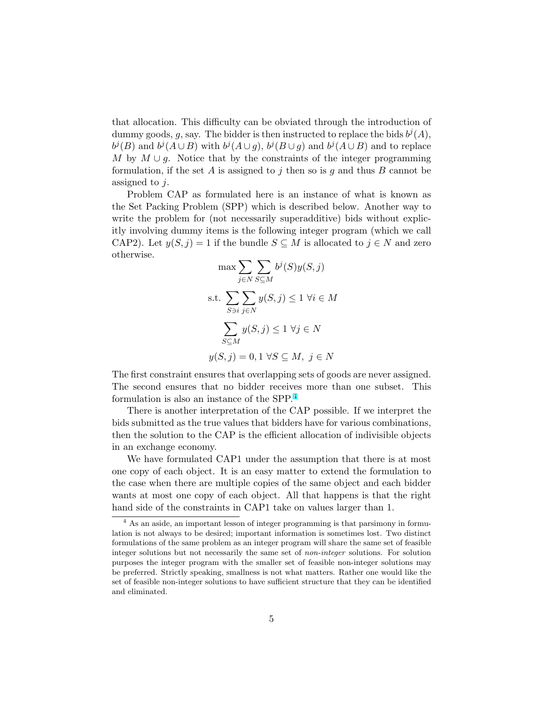that allocation. This difficulty can be obviated through the introduction of dummy goods, g, say. The bidder is then instructed to replace the bids  $b^{j}(A)$ ,  $b^{j}(B)$  and  $b^{j}(A \cup B)$  with  $b^{j}(A \cup g)$ ,  $b^{j}(B \cup g)$  and  $b^{j}(A \cup B)$  and to replace M by  $M \cup g$ . Notice that by the constraints of the integer programming formulation, if the set A is assigned to j then so is  $g$  and thus B cannot be assigned to j.

Problem CAP as formulated here is an instance of what is known as the Set Packing Problem (SPP) which is described below. Another way to write the problem for (not necessarily superadditive) bids without explicitly involving dummy items is the following integer program (which we call CAP2). Let  $y(S, j) = 1$  if the bundle  $S \subseteq M$  is allocated to  $j \in N$  and zero otherwise.

$$
\max \sum_{j \in N} \sum_{S \subseteq M} b^{j}(S)y(S, j)
$$
  
s.t. 
$$
\sum_{S \ni j} \sum_{j \in N} y(S, j) \leq 1 \ \forall i \in M
$$

$$
\sum_{S \subseteq M} y(S, j) \leq 1 \ \forall j \in N
$$

$$
y(S, j) = 0, 1 \ \forall S \subseteq M, \ j \in N
$$

The first constraint ensures that overlapping sets of goods are never assigned. The second ensures that no bidder receives more than one subset. This formulation is also an instance of the SPP.<sup>4</sup>

There is another interpretation of the CAP possible. If we interpret the bids submitted as the true values that bidders have for various combinations, then the solution to the CAP is the efficient allocation of indivisible objects in an exchange economy.

We have formulated CAP1 under the assumption that there is at most one copy of each object. It is an easy matter to extend the formulation to the case when there are multiple copies of the same object and each bidder wants at most one copy of each object. All that happens is that the right hand side of the constraints in CAP1 take on values larger than 1.

<sup>4</sup> As an aside, an important lesson of integer programming is that parsimony in formulation is not always to be desired; important information is sometimes lost. Two distinct formulations of the same problem as an integer program will share the same set of feasible integer solutions but not necessarily the same set of non-integer solutions. For solution purposes the integer program with the smaller set of feasible non-integer solutions may be preferred. Strictly speaking, smallness is not what matters. Rather one would like the set of feasible non-integer solutions to have sufficient structure that they can be identified and eliminated.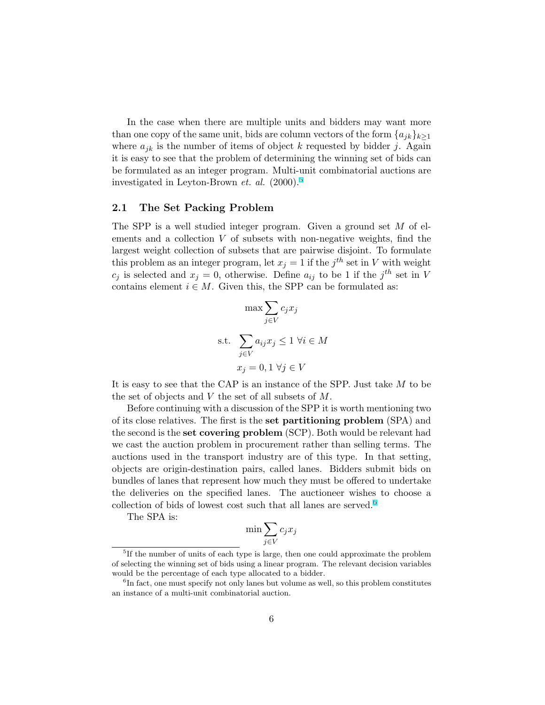<span id="page-5-0"></span>In the case when there are multiple units and bidders may want more than one copy of the same unit, bids are column vectors of the form  $\{a_{jk}\}_{k>1}$ where  $a_{jk}$  is the number of items of object k requested by bidder j. Again it is easy to see that the problem of determining the winning set of bids can be formulated as an integer program. Multi-unit combinatorial auctions are investigated in Leyton-Brown *et. al.* (2000).<sup>5</sup>

#### 2.1 The Set Packing Problem

The SPP is a well studied integer program. Given a ground set  $M$  of elements and a collection  $V$  of subsets with non-negative weights, find the largest weight collection of subsets that are pairwise disjoint. To formulate this problem as an integer program, let  $x_j = 1$  if the  $j<sup>th</sup>$  set in V with weight  $c_j$  is selected and  $x_j = 0$ , otherwise. Define  $a_{ij}$  to be 1 if the  $j<sup>th</sup>$  set in V contains element  $i \in M$ . Given this, the SPP can be formulated as:

$$
\max \sum_{j \in V} c_j x_j
$$
  
s.t. 
$$
\sum_{j \in V} a_{ij} x_j \le 1 \ \forall i \in M
$$

$$
x_j = 0, 1 \ \forall j \in V
$$

It is easy to see that the CAP is an instance of the SPP. Just take M to be the set of objects and  $V$  the set of all subsets of  $M$ .

Before continuing with a discussion of the SPP it is worth mentioning two of its close relatives. The first is the set partitioning problem (SPA) and the second is the set covering problem (SCP). Both would be relevant had we cast the auction problem in procurement rather than selling terms. The auctions used in the transport industry are of this type. In that setting, objects are origin-destination pairs, called lanes. Bidders submit bids on bundles of lanes that represent how much they must be offered to undertake the deliveries on the specified lanes. The auctioneer wishes to choose a collection of bids of lowest cost such that all lanes are served.<sup>6</sup>

The SPA is:

$$
\min \sum_{j \in V} c_j x_j
$$

<sup>&</sup>lt;sup>5</sup>If the number of units of each type is large, then one could approximate the problem of selecting the winning set of bids using a linear program. The relevant decision variables would be the percentage of each type allocated to a bidder.

<sup>6</sup> In fact, one must specify not only lanes but volume as well, so this problem constitutes an instance of a multi-unit combinatorial auction.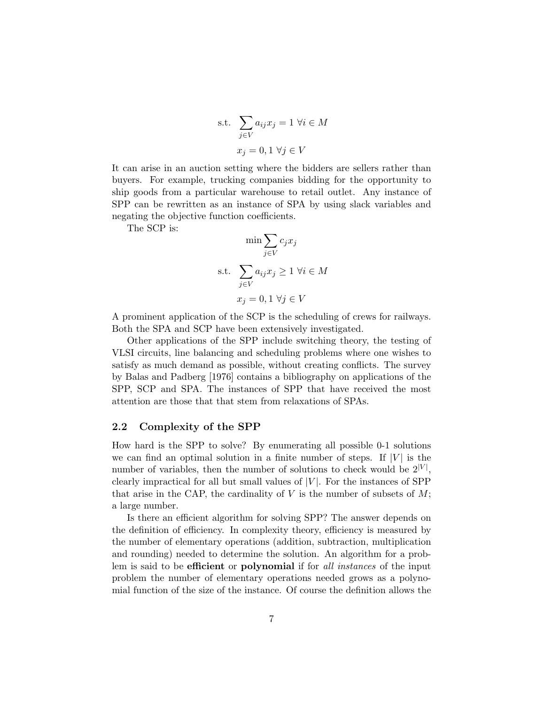s.t. 
$$
\sum_{j \in V} a_{ij} x_j = 1 \ \forall i \in M
$$

$$
x_j = 0, 1 \ \forall j \in V
$$

<span id="page-6-0"></span>It can arise in an auction setting where the bidders are sellers rather than buyers. For example, trucking companies bidding for the opportunity to ship goods from a particular warehouse to retail outlet. Any instance of SPP can be rewritten as an instance of SPA by using slack variables and negating the objective function coefficients.

The SCP is:

$$
\min \sum_{j \in V} c_j x_j
$$
  
s.t. 
$$
\sum_{j \in V} a_{ij} x_j \ge 1 \ \forall i \in M
$$
  

$$
x_j = 0, 1 \ \forall j \in V
$$

A prominent application of the SCP is the scheduling of crews for railways. Both the SPA and SCP have been extensively investigated.

Other applications of the SPP include switching theory, the testing of VLSI circuits, line balancing and scheduling problems where one wishes to satisfy as much demand as possible, without creating conflicts. The survey by Balas and Padberg [1976] contains a bibliography on applications of the SPP, SCP and SPA. The instances of SPP that have received the most attention are those that that stem from relaxations of SPAs.

## 2.2 Complexity of the SPP

How hard is the SPP to solve? By enumerating all possible 0-1 solutions we can find an optimal solution in a finite number of steps. If  $|V|$  is the number of variables, then the number of solutions to check would be  $2^{|V|}$ , clearly impractical for all but small values of  $|V|$ . For the instances of SPP that arise in the CAP, the cardinality of  $V$  is the number of subsets of  $M$ ; a large number.

Is there an efficient algorithm for solving SPP? The answer depends on the definition of efficiency. In complexity theory, efficiency is measured by the number of elementary operations (addition, subtraction, multiplication and rounding) needed to determine the solution. An algorithm for a problem is said to be **efficient** or **polynomial** if for all instances of the input problem the number of elementary operations needed grows as a polynomial function of the size of the instance. Of course the definition allows the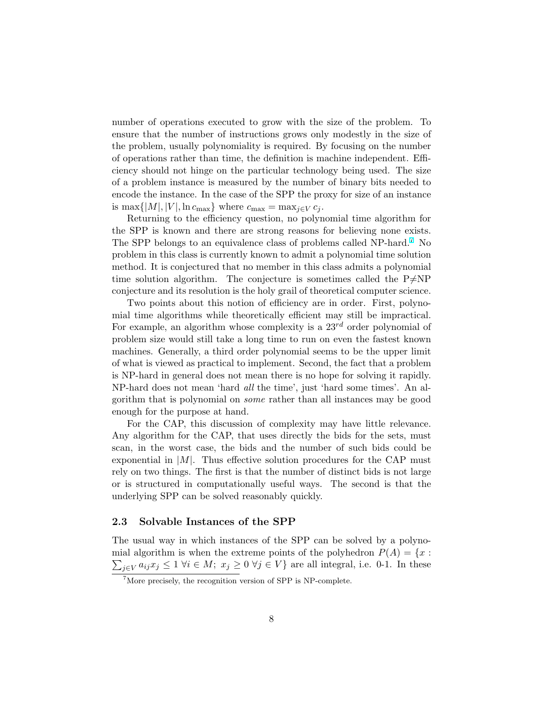<span id="page-7-0"></span>number of operations executed to grow with the size of the problem. To ensure that the number of instructions grows only modestly in the size of the problem, usually polynomiality is required. By focusing on the number of operations rather than time, the definition is machine independent. Efficiency should not hinge on the particular technology being used. The size of a problem instance is measured by the number of binary bits needed to encode the instance. In the case of the SPP the proxy for size of an instance is max $\{|M|, |V|, \ln c_{\text{max}}\}$  where  $c_{\text{max}} = \max_{i \in V} c_i$ .

Returning to the efficiency question, no polynomial time algorithm for the SPP is known and there are strong reasons for believing none exists. The SPP belongs to an equivalence class of problems called NP-hard.<sup>7</sup> No problem in this class is currently known to admit a polynomial time solution method. It is conjectured that no member in this class admits a polynomial time solution algorithm. The conjecture is sometimes called the  $P\neq NP$ conjecture and its resolution is the holy grail of theoretical computer science.

Two points about this notion of efficiency are in order. First, polynomial time algorithms while theoretically efficient may still be impractical. For example, an algorithm whose complexity is a  $23^{rd}$  order polynomial of problem size would still take a long time to run on even the fastest known machines. Generally, a third order polynomial seems to be the upper limit of what is viewed as practical to implement. Second, the fact that a problem is NP-hard in general does not mean there is no hope for solving it rapidly. NP-hard does not mean 'hard all the time', just 'hard some times'. An algorithm that is polynomial on some rather than all instances may be good enough for the purpose at hand.

For the CAP, this discussion of complexity may have little relevance. Any algorithm for the CAP, that uses directly the bids for the sets, must scan, in the worst case, the bids and the number of such bids could be exponential in  $|M|$ . Thus effective solution procedures for the CAP must rely on two things. The first is that the number of distinct bids is not large or is structured in computationally useful ways. The second is that the underlying SPP can be solved reasonably quickly.

#### 2.3 Solvable Instances of the SPP

The usual way in which instances of the SPP can be solved by a polynomial algorithm is when the extreme points of the polyhedron  $P(A) = \{x :$  $\sum_{j\in V} a_{ij} x_j \leq 1 \ \forall i \in M; \ x_j \geq 0 \ \forall j \in V$  are all integral, i.e. 0-1. In these

<sup>7</sup>More precisely, the recognition version of SPP is NP-complete.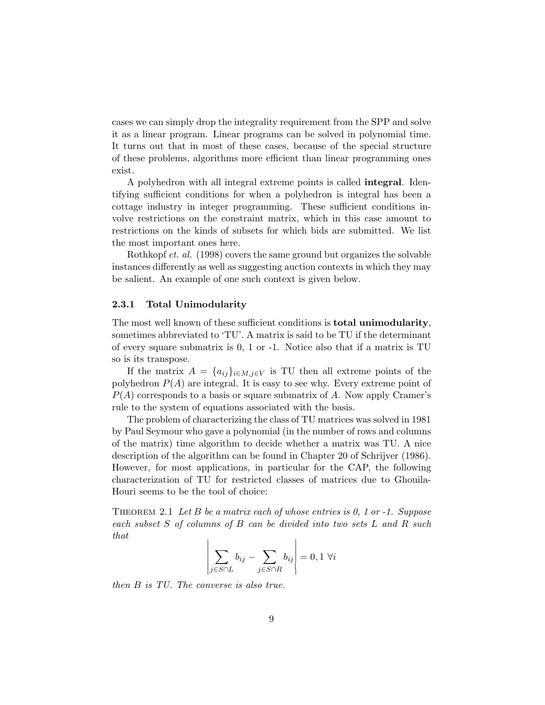<span id="page-8-0"></span>cases we can simply drop the integrality requirement from the SPP and solve it as a linear program. Linear programs can be solved in polynomial time. It turns out that in most of these cases, because of the special structure of these problems, algorithms more efficient than linear programming ones exist.

A polyhedron with all integral extreme points is called integral. Identifying sufficient conditions for when a polyhedron is integral has been a cottage industry in integer programming. These sufficient conditions involve restrictions on the constraint matrix, which in this case amount to restrictions on the kinds of subsets for which bids are submitted. We list the most important ones here.

Rothkopf et. al. (1998) covers the same ground but organizes the solvable instances differently as well as suggesting auction contexts in which they may be salient. An example of one such context is given below.

#### 2.3.1 Total Unimodularity

The most well known of these sufficient conditions is total unimodularity, sometimes abbreviated to 'TU'. A matrix is said to be TU if the determinant of every square submatrix is 0, 1 or -1. Notice also that if a matrix is TU so is its transpose.

If the matrix  $A = \{a_{ij}\}_{i \in M, j \in V}$  is TU then all extreme points of the polyhedron  $P(A)$  are integral. It is easy to see why. Every extreme point of  $P(A)$  corresponds to a basis or square submatrix of A. Now apply Cramer's rule to the system of equations associated with the basis.

The problem of characterizing the class of TU matrices was solved in 1981 by Paul Seymour who gave a polynomial (in the number of rows and columns of the matrix) time algorithm to decide whether a matrix was TU. A nice description of the algorithm can be found in Chapter 20 of Schrijver (1986). However, for most applications, in particular for the CAP, the following characterization of TU for restricted classes of matrices due to Ghouila-Houri seems to be the tool of choice:

THEOREM 2.1 Let B be a matrix each of whose entries is 0, 1 or  $-1$ . Suppose each subset S of columns of B can be divided into two sets L and R such that  $\mathbf{I}$ 

$$
\left| \sum_{j \in S \cap L} b_{ij} - \sum_{j \in S \cap R} b_{ij} \right| = 0, 1 \,\forall i
$$

then B is TU. The converse is also true.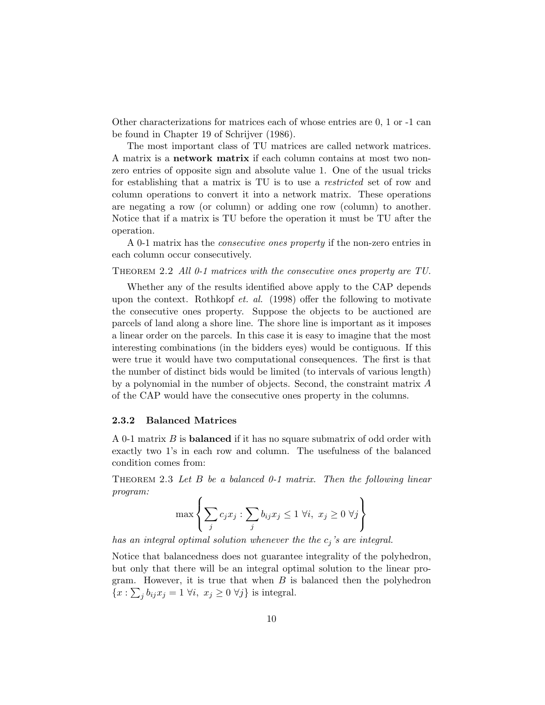<span id="page-9-0"></span>Other characterizations for matrices each of whose entries are 0, 1 or -1 can be found in Chapter 19 of Schrijver (1986).

The most important class of TU matrices are called network matrices. A matrix is a network matrix if each column contains at most two nonzero entries of opposite sign and absolute value 1. One of the usual tricks for establishing that a matrix is TU is to use a *restricted* set of row and column operations to convert it into a network matrix. These operations are negating a row (or column) or adding one row (column) to another. Notice that if a matrix is TU before the operation it must be TU after the operation.

A 0-1 matrix has the consecutive ones property if the non-zero entries in each column occur consecutively.

#### THEOREM 2.2 All 0-1 matrices with the consecutive ones property are TU.

Whether any of the results identified above apply to the CAP depends upon the context. Rothkopf *et. al.* (1998) offer the following to motivate the consecutive ones property. Suppose the objects to be auctioned are parcels of land along a shore line. The shore line is important as it imposes a linear order on the parcels. In this case it is easy to imagine that the most interesting combinations (in the bidders eyes) would be contiguous. If this were true it would have two computational consequences. The first is that the number of distinct bids would be limited (to intervals of various length) by a polynomial in the number of objects. Second, the constraint matrix A of the CAP would have the consecutive ones property in the columns.

### 2.3.2 Balanced Matrices

A 0-1 matrix  $B$  is **balanced** if it has no square submatrix of odd order with exactly two 1's in each row and column. The usefulness of the balanced condition comes from:

THEOREM 2.3 Let  $B$  be a balanced 0-1 matrix. Then the following linear program:

$$
\max \left\{ \sum_{j} c_j x_j : \sum_{j} b_{ij} x_j \le 1 \ \forall i, \ x_j \ge 0 \ \forall j \right\}
$$

has an integral optimal solution whenever the the  $c_j$ 's are integral.

Notice that balancedness does not guarantee integrality of the polyhedron, but only that there will be an integral optimal solution to the linear program. However, it is true that when  $B$  is balanced then the polyhedron  ${x : \sum_j b_{ij} x_j = 1 \forall i, x_j \ge 0 \forall j}$  is integral.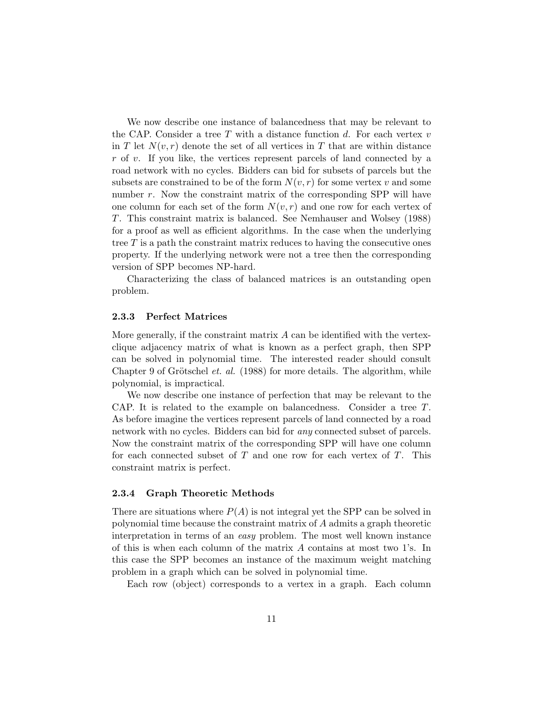<span id="page-10-0"></span>We now describe one instance of balancedness that may be relevant to the CAP. Consider a tree T with a distance function d. For each vertex  $v$ in T let  $N(v, r)$  denote the set of all vertices in T that are within distance r of v. If you like, the vertices represent parcels of land connected by a road network with no cycles. Bidders can bid for subsets of parcels but the subsets are constrained to be of the form  $N(v, r)$  for some vertex v and some number  $r$ . Now the constraint matrix of the corresponding SPP will have one column for each set of the form  $N(v, r)$  and one row for each vertex of T. This constraint matrix is balanced. See Nemhauser and Wolsey (1988) for a proof as well as efficient algorithms. In the case when the underlying tree  $T$  is a path the constraint matrix reduces to having the consecutive ones property. If the underlying network were not a tree then the corresponding version of SPP becomes NP-hard.

Characterizing the class of balanced matrices is an outstanding open problem.

#### 2.3.3 Perfect Matrices

More generally, if the constraint matrix  $A$  can be identified with the vertexclique adjacency matrix of what is known as a perfect graph, then SPP can be solved in polynomial time. The interested reader should consult Chapter 9 of Grötschel et. al.  $(1988)$  for more details. The algorithm, while polynomial, is impractical.

We now describe one instance of perfection that may be relevant to the CAP. It is related to the example on balancedness. Consider a tree T. As before imagine the vertices represent parcels of land connected by a road network with no cycles. Bidders can bid for *any* connected subset of parcels. Now the constraint matrix of the corresponding SPP will have one column for each connected subset of  $T$  and one row for each vertex of  $T$ . This constraint matrix is perfect.

#### 2.3.4 Graph Theoretic Methods

There are situations where  $P(A)$  is not integral yet the SPP can be solved in polynomial time because the constraint matrix of A admits a graph theoretic interpretation in terms of an easy problem. The most well known instance of this is when each column of the matrix A contains at most two 1's. In this case the SPP becomes an instance of the maximum weight matching problem in a graph which can be solved in polynomial time.

Each row (object) corresponds to a vertex in a graph. Each column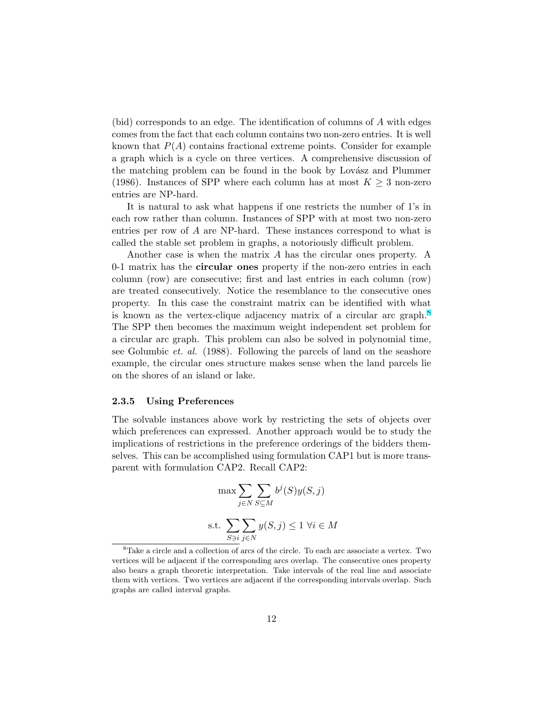<span id="page-11-0"></span>(bid) corresponds to an edge. The identification of columns of A with edges comes from the fact that each column contains two non-zero entries. It is well known that  $P(A)$  contains fractional extreme points. Consider for example a graph which is a cycle on three vertices. A comprehensive discussion of the matching problem can be found in the book by Lovász and Plummer (1986). Instances of SPP where each column has at most  $K \geq 3$  non-zero entries are NP-hard.

It is natural to ask what happens if one restricts the number of 1's in each row rather than column. Instances of SPP with at most two non-zero entries per row of A are NP-hard. These instances correspond to what is called the stable set problem in graphs, a notoriously difficult problem.

Another case is when the matrix A has the circular ones property. A 0-1 matrix has the circular ones property if the non-zero entries in each column (row) are consecutive; first and last entries in each column (row) are treated consecutively. Notice the resemblance to the consecutive ones property. In this case the constraint matrix can be identified with what is known as the vertex-clique adjacency matrix of a circular arc graph.<sup>8</sup> The SPP then becomes the maximum weight independent set problem for a circular arc graph. This problem can also be solved in polynomial time, see Golumbic et. al. (1988). Following the parcels of land on the seashore example, the circular ones structure makes sense when the land parcels lie on the shores of an island or lake.

#### 2.3.5 Using Preferences

The solvable instances above work by restricting the sets of objects over which preferences can expressed. Another approach would be to study the implications of restrictions in the preference orderings of the bidders themselves. This can be accomplished using formulation CAP1 but is more transparent with formulation CAP2. Recall CAP2:

$$
\max \sum_{j \in N} \sum_{S \subseteq M} b^{j}(S)y(S, j)
$$
  
s.t. 
$$
\sum_{S \ni i} \sum_{j \in N} y(S, j) \leq 1 \ \forall i \in M
$$

<sup>8</sup>Take a circle and a collection of arcs of the circle. To each arc associate a vertex. Two vertices will be adjacent if the corresponding arcs overlap. The consecutive ones property also bears a graph theoretic interpretation. Take intervals of the real line and associate them with vertices. Two vertices are adjacent if the corresponding intervals overlap. Such graphs are called interval graphs.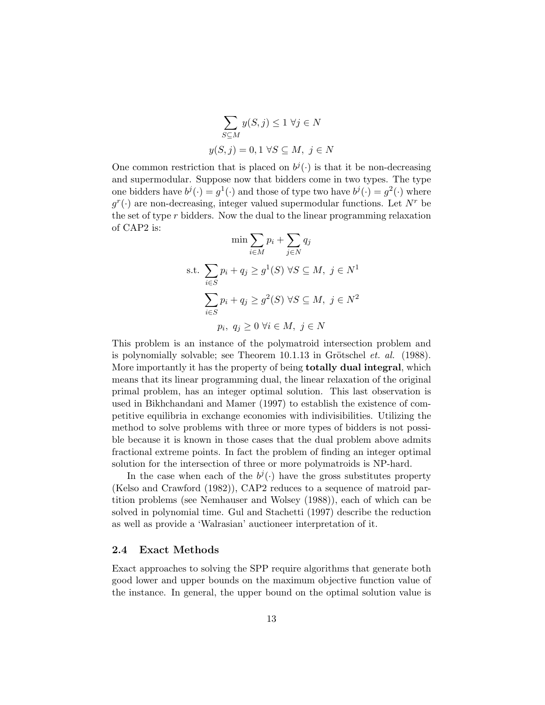$$
\sum_{S \subseteq M} y(S, j) \le 1 \,\forall j \in N
$$
  

$$
y(S, j) = 0, 1 \,\forall S \subseteq M, \ j \in N
$$

<span id="page-12-0"></span>One common restriction that is placed on  $b^{j}(\cdot)$  is that it be non-decreasing and supermodular. Suppose now that bidders come in two types. The type one bidders have  $b^j(\cdot) = g^1(\cdot)$  and those of type two have  $b^j(\cdot) = g^2(\cdot)$  where  $g^r(\cdot)$  are non-decreasing, integer valued supermodular functions. Let  $N^r$  be the set of type r bidders. Now the dual to the linear programming relaxation of CAP2 is:

$$
\min \sum_{i \in M} p_i + \sum_{j \in N} q_j
$$
  
s.t. 
$$
\sum_{i \in S} p_i + q_j \ge g^1(S) \forall S \subseteq M, j \in N^1
$$

$$
\sum_{i \in S} p_i + q_j \ge g^2(S) \forall S \subseteq M, j \in N^2
$$

$$
p_i, q_j \ge 0 \forall i \in M, j \in N
$$

This problem is an instance of the polymatroid intersection problem and is polynomially solvable; see Theorem  $10.1.13$  in Grötschel *et. al.* (1988). More importantly it has the property of being totally dual integral, which means that its linear programming dual, the linear relaxation of the original primal problem, has an integer optimal solution. This last observation is used in Bikhchandani and Mamer (1997) to establish the existence of competitive equilibria in exchange economies with indivisibilities. Utilizing the method to solve problems with three or more types of bidders is not possible because it is known in those cases that the dual problem above admits fractional extreme points. In fact the problem of finding an integer optimal solution for the intersection of three or more polymatroids is NP-hard.

In the case when each of the  $b^{j}(\cdot)$  have the gross substitutes property (Kelso and Crawford (1982)), CAP2 reduces to a sequence of matroid partition problems (see Nemhauser and Wolsey (1988)), each of which can be solved in polynomial time. Gul and Stachetti (1997) describe the reduction as well as provide a 'Walrasian' auctioneer interpretation of it.

# 2.4 Exact Methods

Exact approaches to solving the SPP require algorithms that generate both good lower and upper bounds on the maximum objective function value of the instance. In general, the upper bound on the optimal solution value is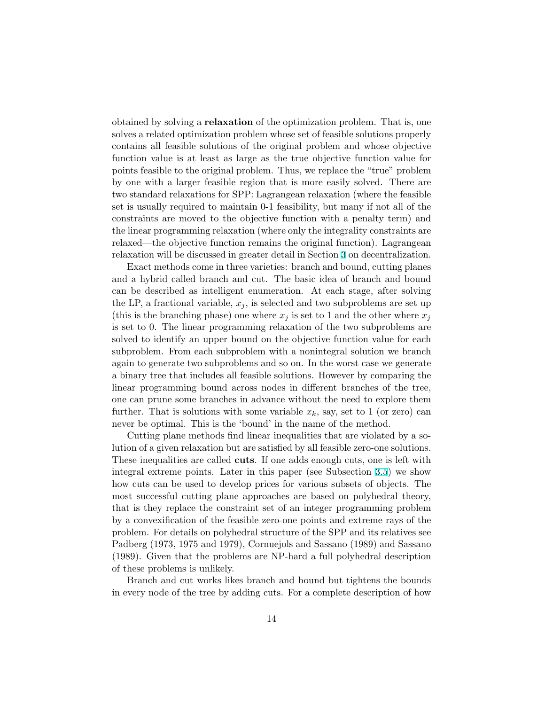obtained by solving a relaxation of the optimization problem. That is, one solves a related optimization problem whose set of feasible solutions properly contains all feasible solutions of the original problem and whose objective function value is at least as large as the true objective function value for points feasible to the original problem. Thus, we replace the "true" problem by one with a larger feasible region that is more easily solved. There are two standard relaxations for SPP: Lagrangean relaxation (where the feasible set is usually required to maintain 0-1 feasibility, but many if not all of the constraints are moved to the objective function with a penalty term) and the linear programming relaxation (where only the integrality constraints are relaxed—the objective function remains the original function). Lagrangean relaxation will be discussed in greater detail in Section [3](#page-18-0) on decentralization.

Exact methods come in three varieties: branch and bound, cutting planes and a hybrid called branch and cut. The basic idea of branch and bound can be described as intelligent enumeration. At each stage, after solving the LP, a fractional variable,  $x_j$ , is selected and two subproblems are set up (this is the branching phase) one where  $x_j$  is set to 1 and the other where  $x_j$ is set to 0. The linear programming relaxation of the two subproblems are solved to identify an upper bound on the objective function value for each subproblem. From each subproblem with a nonintegral solution we branch again to generate two subproblems and so on. In the worst case we generate a binary tree that includes all feasible solutions. However by comparing the linear programming bound across nodes in different branches of the tree, one can prune some branches in advance without the need to explore them further. That is solutions with some variable  $x_k$ , say, set to 1 (or zero) can never be optimal. This is the 'bound' in the name of the method.

Cutting plane methods find linear inequalities that are violated by a solution of a given relaxation but are satisfied by all feasible zero-one solutions. These inequalities are called **cuts**. If one adds enough cuts, one is left with integral extreme points. Later in this paper (see Subsection [3.5\)](#page-25-0) we show how cuts can be used to develop prices for various subsets of objects. The most successful cutting plane approaches are based on polyhedral theory, that is they replace the constraint set of an integer programming problem by a convexification of the feasible zero-one points and extreme rays of the problem. For details on polyhedral structure of the SPP and its relatives see Padberg (1973, 1975 and 1979), Cornuejols and Sassano (1989) and Sassano (1989). Given that the problems are NP-hard a full polyhedral description of these problems is unlikely.

Branch and cut works likes branch and bound but tightens the bounds in every node of the tree by adding cuts. For a complete description of how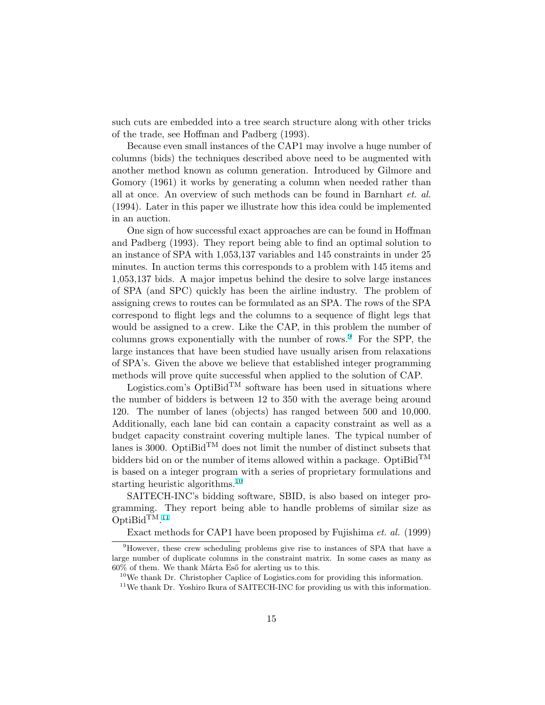such cuts are embedded into a tree search structure along with other tricks of the trade, see Hoffman and Padberg (1993).

Because even small instances of the CAP1 may involve a huge number of columns (bids) the techniques described above need to be augmented with another method known as column generation. Introduced by Gilmore and Gomory (1961) it works by generating a column when needed rather than all at once. An overview of such methods can be found in Barnhart et. al. (1994). Later in this paper we illustrate how this idea could be implemented in an auction.

One sign of how successful exact approaches are can be found in Hoffman and Padberg (1993). They report being able to find an optimal solution to an instance of SPA with 1,053,137 variables and 145 constraints in under 25 minutes. In auction terms this corresponds to a problem with 145 items and 1,053,137 bids. A major impetus behind the desire to solve large instances of SPA (and SPC) quickly has been the airline industry. The problem of assigning crews to routes can be formulated as an SPA. The rows of the SPA correspond to flight legs and the columns to a sequence of flight legs that would be assigned to a crew. Like the CAP, in this problem the number of columns grows exponentially with the number of rows. $9$  For the SPP, the large instances that have been studied have usually arisen from relaxations of SPA's. Given the above we believe that established integer programming methods will prove quite successful when applied to the solution of CAP.

Logistics.com's OptiBid<sup>TM</sup> software has been used in situations where the number of bidders is between 12 to 350 with the average being around 120. The number of lanes (objects) has ranged between 500 and 10,000. Additionally, each lane bid can contain a capacity constraint as well as a budget capacity constraint covering multiple lanes. The typical number of lanes is 3000. OptiBid<sup>TM</sup> does not limit the number of distinct subsets that bidders bid on or the number of items allowed within a package. OptiBid<sup>TM</sup> is based on a integer program with a series of proprietary formulations and starting heuristic algorithms.<sup>10</sup>

SAITECH-INC's bidding software, SBID, is also based on integer programming. They report being able to handle problems of similar size as  $\mathrm{OptiBid}^{\mathrm{TM},11}$ 

Exact methods for CAP1 have been proposed by Fujishima et. al. (1999)

<sup>9</sup>However, these crew scheduling problems give rise to instances of SPA that have a large number of duplicate columns in the constraint matrix. In some cases as many as  $60\%$  of them. We thank Márta Eső for alerting us to this.

<sup>10</sup>We thank Dr. Christopher Caplice of Logistics.com for providing this information.

<sup>&</sup>lt;sup>11</sup>We thank Dr. Yoshiro Ikura of SAITECH-INC for providing us with this information.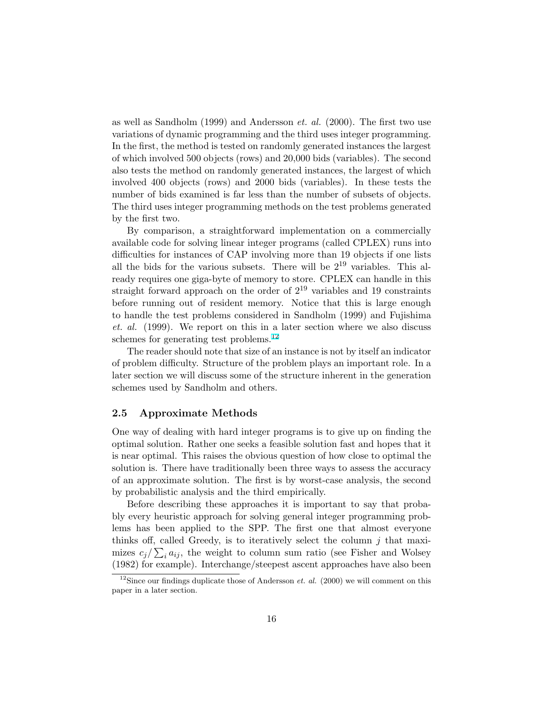<span id="page-15-0"></span>as well as Sandholm (1999) and Andersson et. al. (2000). The first two use variations of dynamic programming and the third uses integer programming. In the first, the method is tested on randomly generated instances the largest of which involved 500 objects (rows) and 20,000 bids (variables). The second also tests the method on randomly generated instances, the largest of which involved 400 objects (rows) and 2000 bids (variables). In these tests the number of bids examined is far less than the number of subsets of objects. The third uses integer programming methods on the test problems generated by the first two.

By comparison, a straightforward implementation on a commercially available code for solving linear integer programs (called CPLEX) runs into difficulties for instances of CAP involving more than 19 objects if one lists all the bids for the various subsets. There will be  $2^{19}$  variables. This already requires one giga-byte of memory to store. CPLEX can handle in this straight forward approach on the order of  $2^{19}$  variables and 19 constraints before running out of resident memory. Notice that this is large enough to handle the test problems considered in Sandholm (1999) and Fujishima et. al. (1999). We report on this in a later section where we also discuss schemes for generating test problems.<sup>12</sup>

The reader should note that size of an instance is not by itself an indicator of problem difficulty. Structure of the problem plays an important role. In a later section we will discuss some of the structure inherent in the generation schemes used by Sandholm and others.

#### 2.5 Approximate Methods

One way of dealing with hard integer programs is to give up on finding the optimal solution. Rather one seeks a feasible solution fast and hopes that it is near optimal. This raises the obvious question of how close to optimal the solution is. There have traditionally been three ways to assess the accuracy of an approximate solution. The first is by worst-case analysis, the second by probabilistic analysis and the third empirically.

Before describing these approaches it is important to say that probably every heuristic approach for solving general integer programming problems has been applied to the SPP. The first one that almost everyone thinks off, called Greedy, is to iteratively select the column  $j$  that maximizes  $c_j / \sum_i a_{ij}$ , the weight to column sum ratio (see Fisher and Wolsey (1982) for example). Interchange/steepest ascent approaches have also been

<sup>&</sup>lt;sup>12</sup>Since our findings duplicate those of Andersson *et. al.* (2000) we will comment on this paper in a later section.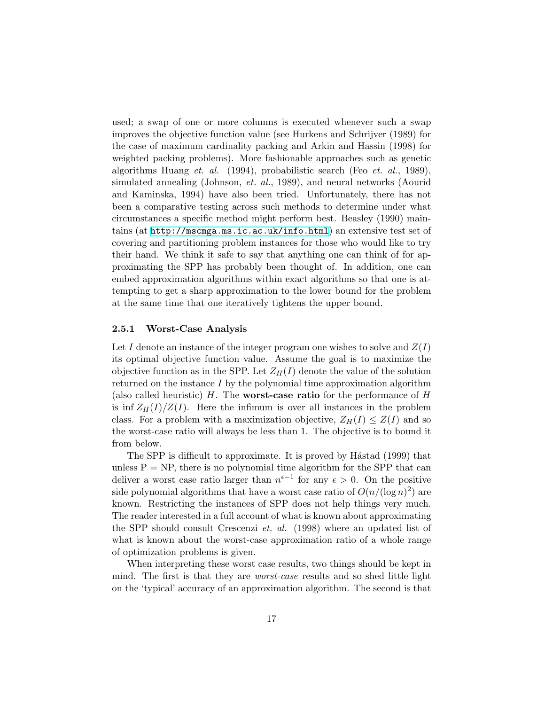<span id="page-16-0"></span>used; a swap of one or more columns is executed whenever such a swap improves the objective function value (see Hurkens and Schrijver (1989) for the case of maximum cardinality packing and Arkin and Hassin (1998) for weighted packing problems). More fashionable approaches such as genetic algorithms Huang et. al. (1994), probabilistic search (Feo et. al., 1989), simulated annealing (Johnson, et. al., 1989), and neural networks (Aourid and Kaminska, 1994) have also been tried. Unfortunately, there has not been a comparative testing across such methods to determine under what circumstances a specific method might perform best. Beasley (1990) maintains (at <http://mscmga.ms.ic.ac.uk/info.html>) an extensive test set of covering and partitioning problem instances for those who would like to try their hand. We think it safe to say that anything one can think of for approximating the SPP has probably been thought of. In addition, one can embed approximation algorithms within exact algorithms so that one is attempting to get a sharp approximation to the lower bound for the problem at the same time that one iteratively tightens the upper bound.

#### 2.5.1 Worst-Case Analysis

Let I denote an instance of the integer program one wishes to solve and  $Z(I)$ its optimal objective function value. Assume the goal is to maximize the objective function as in the SPP. Let  $Z_H(I)$  denote the value of the solution returned on the instance I by the polynomial time approximation algorithm (also called heuristic)  $H$ . The **worst-case ratio** for the performance of  $H$ is inf  $Z_H(I)/Z(I)$ . Here the infimum is over all instances in the problem class. For a problem with a maximization objective,  $Z_H(I) \leq Z(I)$  and so the worst-case ratio will always be less than 1. The objective is to bound it from below.

The SPP is difficult to approximate. It is proved by Håstad (1999) that unless  $P = NP$ , there is no polynomial time algorithm for the SPP that can deliver a worst case ratio larger than  $n^{\epsilon-1}$  for any  $\epsilon > 0$ . On the positive side polynomial algorithms that have a worst case ratio of  $O(n/(\log n)^2)$  are known. Restricting the instances of SPP does not help things very much. The reader interested in a full account of what is known about approximating the SPP should consult Crescenzi et. al. (1998) where an updated list of what is known about the worst-case approximation ratio of a whole range of optimization problems is given.

When interpreting these worst case results, two things should be kept in mind. The first is that they are *worst-case* results and so shed little light on the 'typical' accuracy of an approximation algorithm. The second is that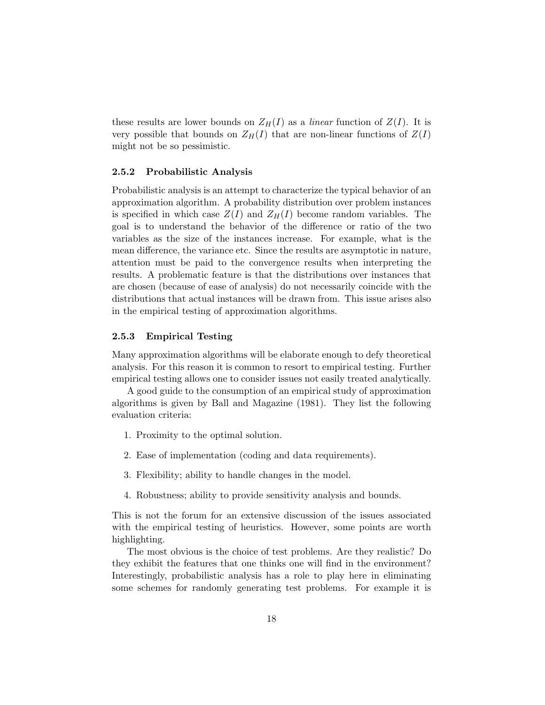<span id="page-17-0"></span>these results are lower bounds on  $Z_H(I)$  as a *linear* function of  $Z(I)$ . It is very possible that bounds on  $Z_H(I)$  that are non-linear functions of  $Z(I)$ might not be so pessimistic.

#### 2.5.2 Probabilistic Analysis

Probabilistic analysis is an attempt to characterize the typical behavior of an approximation algorithm. A probability distribution over problem instances is specified in which case  $Z(I)$  and  $Z_H(I)$  become random variables. The goal is to understand the behavior of the difference or ratio of the two variables as the size of the instances increase. For example, what is the mean difference, the variance etc. Since the results are asymptotic in nature, attention must be paid to the convergence results when interpreting the results. A problematic feature is that the distributions over instances that are chosen (because of ease of analysis) do not necessarily coincide with the distributions that actual instances will be drawn from. This issue arises also in the empirical testing of approximation algorithms.

## 2.5.3 Empirical Testing

Many approximation algorithms will be elaborate enough to defy theoretical analysis. For this reason it is common to resort to empirical testing. Further empirical testing allows one to consider issues not easily treated analytically.

A good guide to the consumption of an empirical study of approximation algorithms is given by Ball and Magazine (1981). They list the following evaluation criteria:

- 1. Proximity to the optimal solution.
- 2. Ease of implementation (coding and data requirements).
- 3. Flexibility; ability to handle changes in the model.
- 4. Robustness; ability to provide sensitivity analysis and bounds.

This is not the forum for an extensive discussion of the issues associated with the empirical testing of heuristics. However, some points are worth highlighting.

The most obvious is the choice of test problems. Are they realistic? Do they exhibit the features that one thinks one will find in the environment? Interestingly, probabilistic analysis has a role to play here in eliminating some schemes for randomly generating test problems. For example it is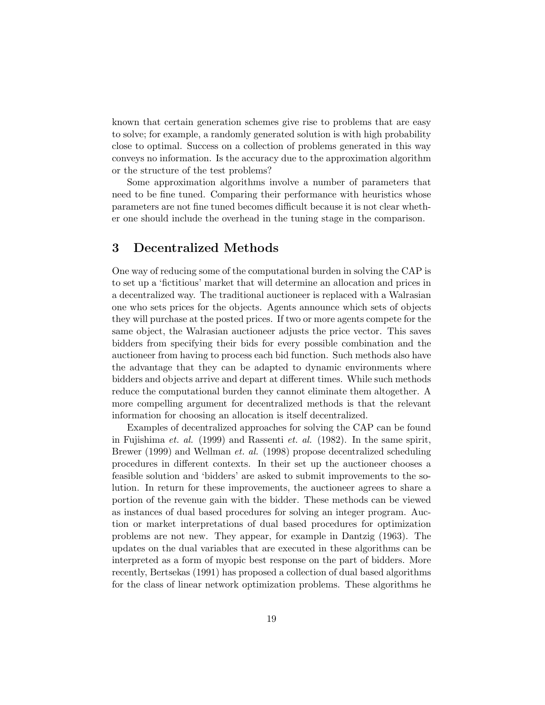<span id="page-18-0"></span>known that certain generation schemes give rise to problems that are easy to solve; for example, a randomly generated solution is with high probability close to optimal. Success on a collection of problems generated in this way conveys no information. Is the accuracy due to the approximation algorithm or the structure of the test problems?

Some approximation algorithms involve a number of parameters that need to be fine tuned. Comparing their performance with heuristics whose parameters are not fine tuned becomes difficult because it is not clear whether one should include the overhead in the tuning stage in the comparison.

# 3 Decentralized Methods

One way of reducing some of the computational burden in solving the CAP is to set up a 'fictitious' market that will determine an allocation and prices in a decentralized way. The traditional auctioneer is replaced with a Walrasian one who sets prices for the objects. Agents announce which sets of objects they will purchase at the posted prices. If two or more agents compete for the same object, the Walrasian auctioneer adjusts the price vector. This saves bidders from specifying their bids for every possible combination and the auctioneer from having to process each bid function. Such methods also have the advantage that they can be adapted to dynamic environments where bidders and objects arrive and depart at different times. While such methods reduce the computational burden they cannot eliminate them altogether. A more compelling argument for decentralized methods is that the relevant information for choosing an allocation is itself decentralized.

Examples of decentralized approaches for solving the CAP can be found in Fujishima et. al. (1999) and Rassenti et. al. (1982). In the same spirit, Brewer (1999) and Wellman et. al. (1998) propose decentralized scheduling procedures in different contexts. In their set up the auctioneer chooses a feasible solution and 'bidders' are asked to submit improvements to the solution. In return for these improvements, the auctioneer agrees to share a portion of the revenue gain with the bidder. These methods can be viewed as instances of dual based procedures for solving an integer program. Auction or market interpretations of dual based procedures for optimization problems are not new. They appear, for example in Dantzig (1963). The updates on the dual variables that are executed in these algorithms can be interpreted as a form of myopic best response on the part of bidders. More recently, Bertsekas (1991) has proposed a collection of dual based algorithms for the class of linear network optimization problems. These algorithms he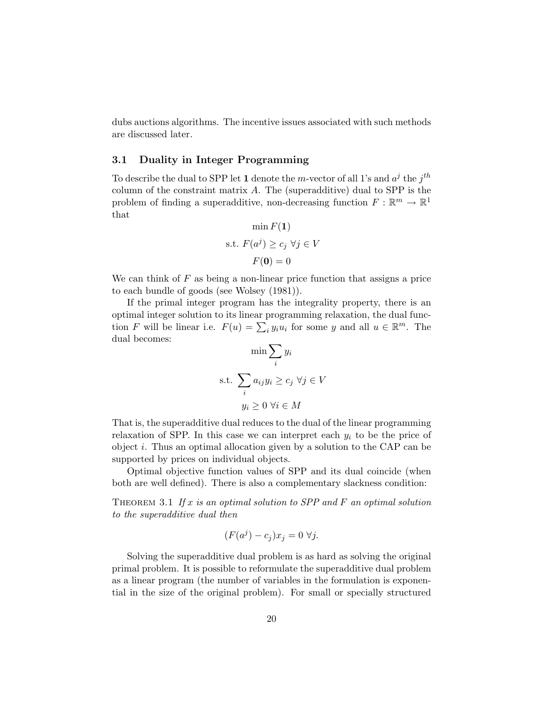<span id="page-19-0"></span>dubs auctions algorithms. The incentive issues associated with such methods are discussed later.

### 3.1 Duality in Integer Programming

To describe the dual to SPP let 1 denote the *m*-vector of all 1's and  $a^j$  the  $j^{th}$ column of the constraint matrix  $A$ . The (superadditive) dual to SPP is the problem of finding a superadditive, non-decreasing function  $F: \mathbb{R}^m \to \mathbb{R}^1$ that

$$
\min F(\mathbf{1})
$$
  
s.t.  $F(a^j) \ge c_j \ \forall j \in V$   

$$
F(\mathbf{0}) = 0
$$

We can think of  $F$  as being a non-linear price function that assigns a price to each bundle of goods (see Wolsey (1981)).

If the primal integer program has the integrality property, there is an optimal integer solution to its linear programming relaxation, the dual function F will be linear i.e.  $F(u) = \sum_i y_i u_i$  for some y and all  $u \in \mathbb{R}^m$ . The dual becomes:

$$
\min \sum_{i} y_i
$$
  
s.t. 
$$
\sum_{i} a_{ij} y_i \ge c_j \,\,\forall j \in V
$$
  

$$
y_i \ge 0 \,\,\forall i \in M
$$

That is, the superadditive dual reduces to the dual of the linear programming relaxation of SPP. In this case we can interpret each  $y_i$  to be the price of object i. Thus an optimal allocation given by a solution to the CAP can be supported by prices on individual objects.

Optimal objective function values of SPP and its dual coincide (when both are well defined). There is also a complementary slackness condition:

THEOREM 3.1 If x is an optimal solution to SPP and F an optimal solution to the superadditive dual then

$$
(F(a^j) - c_j)x_j = 0 \,\forall j.
$$

Solving the superadditive dual problem is as hard as solving the original primal problem. It is possible to reformulate the superadditive dual problem as a linear program (the number of variables in the formulation is exponential in the size of the original problem). For small or specially structured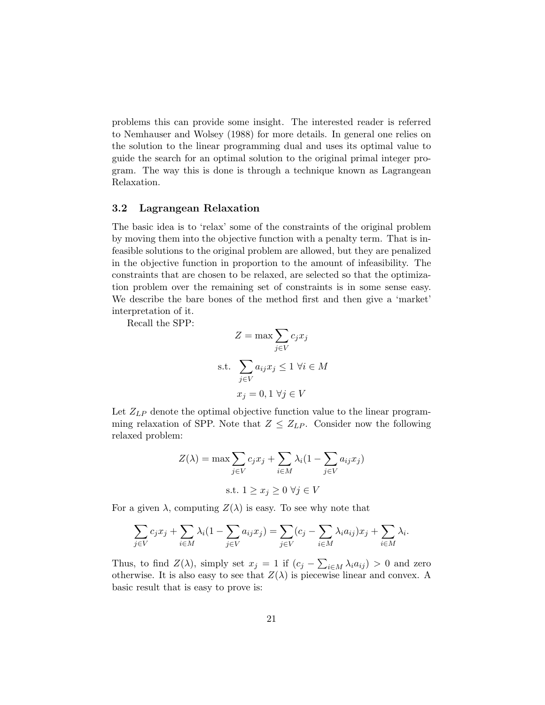<span id="page-20-0"></span>problems this can provide some insight. The interested reader is referred to Nemhauser and Wolsey (1988) for more details. In general one relies on the solution to the linear programming dual and uses its optimal value to guide the search for an optimal solution to the original primal integer program. The way this is done is through a technique known as Lagrangean Relaxation.

# 3.2 Lagrangean Relaxation

The basic idea is to 'relax' some of the constraints of the original problem by moving them into the objective function with a penalty term. That is infeasible solutions to the original problem are allowed, but they are penalized in the objective function in proportion to the amount of infeasibility. The constraints that are chosen to be relaxed, are selected so that the optimization problem over the remaining set of constraints is in some sense easy. We describe the bare bones of the method first and then give a 'market' interpretation of it.

Recall the SPP:

$$
Z = \max \sum_{j \in V} c_j x_j
$$
  
s.t. 
$$
\sum_{j \in V} a_{ij} x_j \le 1 \ \forall i \in M
$$

$$
x_j = 0, 1 \ \forall j \in V
$$

Let  $Z_{LP}$  denote the optimal objective function value to the linear programming relaxation of SPP. Note that  $Z \leq Z_{LP}$ . Consider now the following relaxed problem:

$$
Z(\lambda) = \max \sum_{j \in V} c_j x_j + \sum_{i \in M} \lambda_i (1 - \sum_{j \in V} a_{ij} x_j)
$$
  
s.t.  $1 \ge x_j \ge 0 \ \forall j \in V$ 

For a given  $\lambda$ , computing  $Z(\lambda)$  is easy. To see why note that

$$
\sum_{j \in V} c_j x_j + \sum_{i \in M} \lambda_i (1 - \sum_{j \in V} a_{ij} x_j) = \sum_{j \in V} (c_j - \sum_{i \in M} \lambda_i a_{ij}) x_j + \sum_{i \in M} \lambda_i.
$$

Thus, to find  $Z(\lambda)$ , simply set  $x_j = 1$  if  $(c_j - \sum_{i \in M} \lambda_i a_{ij}) > 0$  and zero otherwise. It is also easy to see that  $Z(\lambda)$  is piecewise linear and convex. A basic result that is easy to prove is: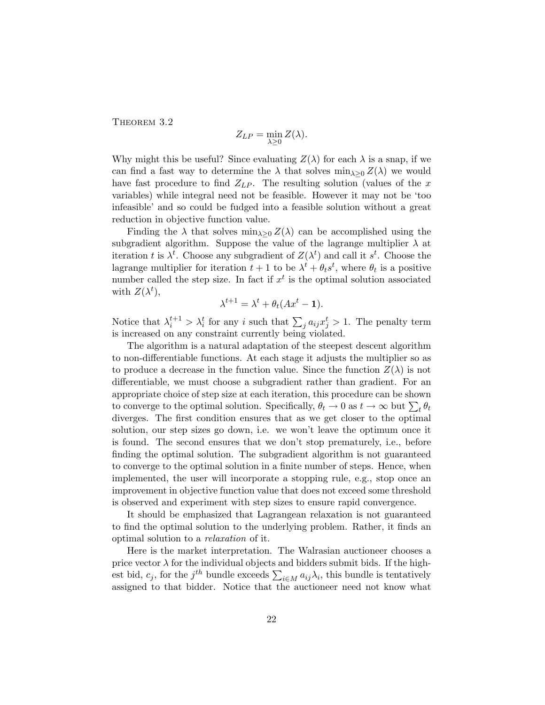THEOREM 3.2

$$
Z_{LP} = \min_{\lambda \ge 0} Z(\lambda).
$$

Why might this be useful? Since evaluating  $Z(\lambda)$  for each  $\lambda$  is a snap, if we can find a fast way to determine the  $\lambda$  that solves  $\min_{\lambda>0} Z(\lambda)$  we would have fast procedure to find  $Z_{LP}$ . The resulting solution (values of the x variables) while integral need not be feasible. However it may not be 'too infeasible' and so could be fudged into a feasible solution without a great reduction in objective function value.

Finding the  $\lambda$  that solves min<sub> $\lambda>0$ </sub>  $Z(\lambda)$  can be accomplished using the subgradient algorithm. Suppose the value of the lagrange multiplier  $\lambda$  at iteration t is  $\lambda^t$ . Choose any subgradient of  $Z(\lambda^t)$  and call it  $s^t$ . Choose the lagrange multiplier for iteration  $t + 1$  to be  $\lambda^t + \theta_t s^t$ , where  $\theta_t$  is a positive number called the step size. In fact if  $x<sup>t</sup>$  is the optimal solution associated with  $Z(\lambda^t)$ ,

$$
\lambda^{t+1} = \lambda^t + \theta_t (Ax^t - \mathbf{1}).
$$

Notice that  $\lambda_i^{t+1} > \lambda_i^t$  for any i such that  $\sum_j a_{ij} x_j^t > 1$ . The penalty term is increased on any constraint currently being violated.

The algorithm is a natural adaptation of the steepest descent algorithm to non-differentiable functions. At each stage it adjusts the multiplier so as to produce a decrease in the function value. Since the function  $Z(\lambda)$  is not differentiable, we must choose a subgradient rather than gradient. For an appropriate choice of step size at each iteration, this procedure can be shown to converge to the optimal solution. Specifically,  $\theta_t \to 0$  as  $t \to \infty$  but  $\sum_t \theta_t$ diverges. The first condition ensures that as we get closer to the optimal solution, our step sizes go down, i.e. we won't leave the optimum once it is found. The second ensures that we don't stop prematurely, i.e., before finding the optimal solution. The subgradient algorithm is not guaranteed to converge to the optimal solution in a finite number of steps. Hence, when implemented, the user will incorporate a stopping rule, e.g., stop once an improvement in objective function value that does not exceed some threshold is observed and experiment with step sizes to ensure rapid convergence.

It should be emphasized that Lagrangean relaxation is not guaranteed to find the optimal solution to the underlying problem. Rather, it finds an optimal solution to a relaxation of it.

Here is the market interpretation. The Walrasian auctioneer chooses a price vector  $\lambda$  for the individual objects and bidders submit bids. If the highest bid,  $c_j$ , for the j<sup>th</sup> bundle exceeds  $\sum_{i \in M} a_{ij} \lambda_i$ , this bundle is tentatively assigned to that bidder. Notice that the auctioneer need not know what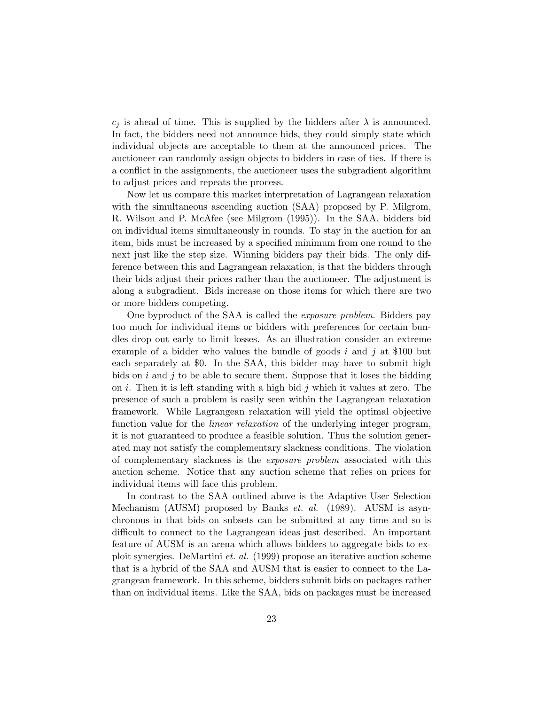$c_i$  is ahead of time. This is supplied by the bidders after  $\lambda$  is announced. In fact, the bidders need not announce bids, they could simply state which individual objects are acceptable to them at the announced prices. The auctioneer can randomly assign objects to bidders in case of ties. If there is a conflict in the assignments, the auctioneer uses the subgradient algorithm to adjust prices and repeats the process.

Now let us compare this market interpretation of Lagrangean relaxation with the simultaneous ascending auction (SAA) proposed by P. Milgrom, R. Wilson and P. McAfee (see Milgrom (1995)). In the SAA, bidders bid on individual items simultaneously in rounds. To stay in the auction for an item, bids must be increased by a specified minimum from one round to the next just like the step size. Winning bidders pay their bids. The only difference between this and Lagrangean relaxation, is that the bidders through their bids adjust their prices rather than the auctioneer. The adjustment is along a subgradient. Bids increase on those items for which there are two or more bidders competing.

One byproduct of the SAA is called the exposure problem. Bidders pay too much for individual items or bidders with preferences for certain bundles drop out early to limit losses. As an illustration consider an extreme example of a bidder who values the bundle of goods  $i$  and  $j$  at \$100 but each separately at \$0. In the SAA, this bidder may have to submit high bids on i and j to be able to secure them. Suppose that it loses the bidding on i. Then it is left standing with a high bid j which it values at zero. The presence of such a problem is easily seen within the Lagrangean relaxation framework. While Lagrangean relaxation will yield the optimal objective function value for the *linear relaxation* of the underlying integer program, it is not guaranteed to produce a feasible solution. Thus the solution generated may not satisfy the complementary slackness conditions. The violation of complementary slackness is the exposure problem associated with this auction scheme. Notice that any auction scheme that relies on prices for individual items will face this problem.

In contrast to the SAA outlined above is the Adaptive User Selection Mechanism (AUSM) proposed by Banks et. al. (1989). AUSM is asynchronous in that bids on subsets can be submitted at any time and so is difficult to connect to the Lagrangean ideas just described. An important feature of AUSM is an arena which allows bidders to aggregate bids to exploit synergies. DeMartini et. al. (1999) propose an iterative auction scheme that is a hybrid of the SAA and AUSM that is easier to connect to the Lagrangean framework. In this scheme, bidders submit bids on packages rather than on individual items. Like the SAA, bids on packages must be increased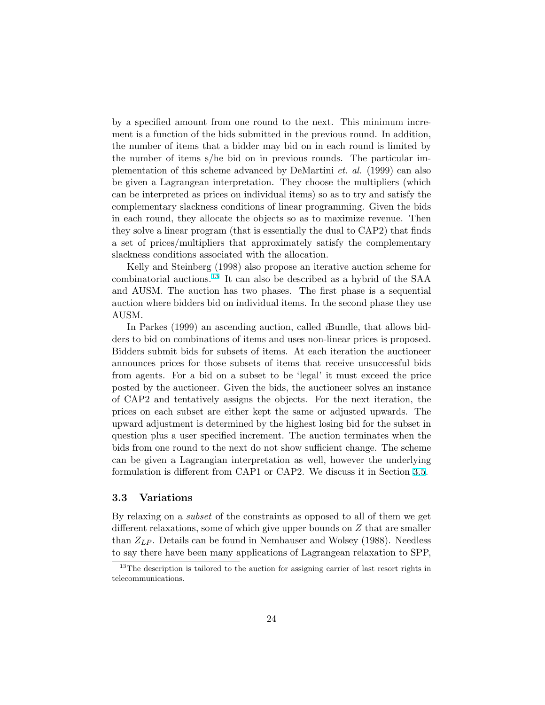<span id="page-23-0"></span>by a specified amount from one round to the next. This minimum increment is a function of the bids submitted in the previous round. In addition, the number of items that a bidder may bid on in each round is limited by the number of items s/he bid on in previous rounds. The particular implementation of this scheme advanced by DeMartini et. al. (1999) can also be given a Lagrangean interpretation. They choose the multipliers (which can be interpreted as prices on individual items) so as to try and satisfy the complementary slackness conditions of linear programming. Given the bids in each round, they allocate the objects so as to maximize revenue. Then they solve a linear program (that is essentially the dual to CAP2) that finds a set of prices/multipliers that approximately satisfy the complementary slackness conditions associated with the allocation.

Kelly and Steinberg (1998) also propose an iterative auction scheme for combinatorial auctions.<sup>13</sup> It can also be described as a hybrid of the SAA and AUSM. The auction has two phases. The first phase is a sequential auction where bidders bid on individual items. In the second phase they use AUSM.

In Parkes (1999) an ascending auction, called iBundle, that allows bidders to bid on combinations of items and uses non-linear prices is proposed. Bidders submit bids for subsets of items. At each iteration the auctioneer announces prices for those subsets of items that receive unsuccessful bids from agents. For a bid on a subset to be 'legal' it must exceed the price posted by the auctioneer. Given the bids, the auctioneer solves an instance of CAP2 and tentatively assigns the objects. For the next iteration, the prices on each subset are either kept the same or adjusted upwards. The upward adjustment is determined by the highest losing bid for the subset in question plus a user specified increment. The auction terminates when the bids from one round to the next do not show sufficient change. The scheme can be given a Lagrangian interpretation as well, however the underlying formulation is different from CAP1 or CAP2. We discuss it in Section [3.5](#page-25-0).

### 3.3 Variations

By relaxing on a subset of the constraints as opposed to all of them we get different relaxations, some of which give upper bounds on Z that are smaller than  $Z_{LP}$ . Details can be found in Nemhauser and Wolsey (1988). Needless to say there have been many applications of Lagrangean relaxation to SPP,

<sup>&</sup>lt;sup>13</sup>The description is tailored to the auction for assigning carrier of last resort rights in telecommunications.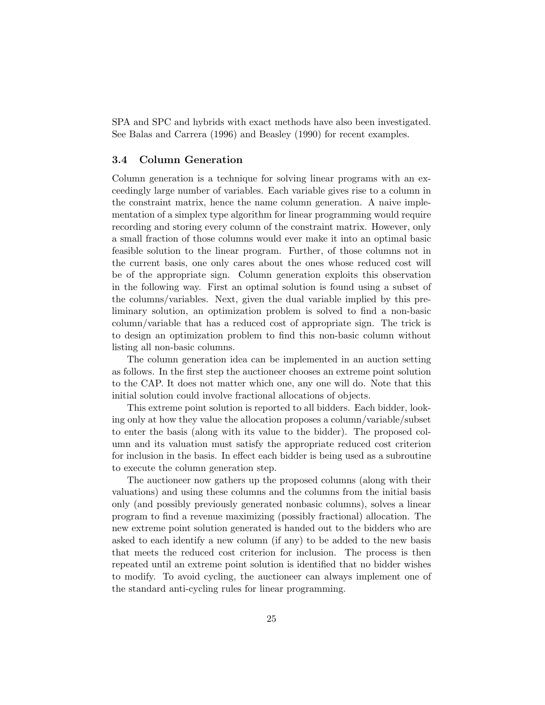<span id="page-24-0"></span>SPA and SPC and hybrids with exact methods have also been investigated. See Balas and Carrera (1996) and Beasley (1990) for recent examples.

## 3.4 Column Generation

Column generation is a technique for solving linear programs with an exceedingly large number of variables. Each variable gives rise to a column in the constraint matrix, hence the name column generation. A naive implementation of a simplex type algorithm for linear programming would require recording and storing every column of the constraint matrix. However, only a small fraction of those columns would ever make it into an optimal basic feasible solution to the linear program. Further, of those columns not in the current basis, one only cares about the ones whose reduced cost will be of the appropriate sign. Column generation exploits this observation in the following way. First an optimal solution is found using a subset of the columns/variables. Next, given the dual variable implied by this preliminary solution, an optimization problem is solved to find a non-basic column/variable that has a reduced cost of appropriate sign. The trick is to design an optimization problem to find this non-basic column without listing all non-basic columns.

The column generation idea can be implemented in an auction setting as follows. In the first step the auctioneer chooses an extreme point solution to the CAP. It does not matter which one, any one will do. Note that this initial solution could involve fractional allocations of objects.

This extreme point solution is reported to all bidders. Each bidder, looking only at how they value the allocation proposes a column/variable/subset to enter the basis (along with its value to the bidder). The proposed column and its valuation must satisfy the appropriate reduced cost criterion for inclusion in the basis. In effect each bidder is being used as a subroutine to execute the column generation step.

The auctioneer now gathers up the proposed columns (along with their valuations) and using these columns and the columns from the initial basis only (and possibly previously generated nonbasic columns), solves a linear program to find a revenue maximizing (possibly fractional) allocation. The new extreme point solution generated is handed out to the bidders who are asked to each identify a new column (if any) to be added to the new basis that meets the reduced cost criterion for inclusion. The process is then repeated until an extreme point solution is identified that no bidder wishes to modify. To avoid cycling, the auctioneer can always implement one of the standard anti-cycling rules for linear programming.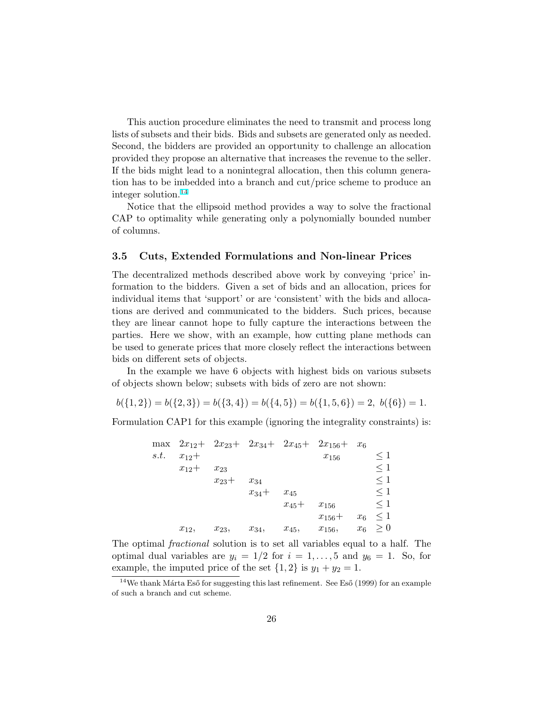<span id="page-25-0"></span>This auction procedure eliminates the need to transmit and process long lists of subsets and their bids. Bids and subsets are generated only as needed. Second, the bidders are provided an opportunity to challenge an allocation provided they propose an alternative that increases the revenue to the seller. If the bids might lead to a nonintegral allocation, then this column generation has to be imbedded into a branch and cut/price scheme to produce an integer solution.<sup>14</sup>

Notice that the ellipsoid method provides a way to solve the fractional CAP to optimality while generating only a polynomially bounded number of columns.

## 3.5 Cuts, Extended Formulations and Non-linear Prices

The decentralized methods described above work by conveying 'price' information to the bidders. Given a set of bids and an allocation, prices for individual items that 'support' or are 'consistent' with the bids and allocations are derived and communicated to the bidders. Such prices, because they are linear cannot hope to fully capture the interactions between the parties. Here we show, with an example, how cutting plane methods can be used to generate prices that more closely reflect the interactions between bids on different sets of objects.

In the example we have 6 objects with highest bids on various subsets of objects shown below; subsets with bids of zero are not shown:

$$
b({1, 2}) = b({2, 3}) = b({3, 4}) = b({4, 5}) = b({1, 5, 6}) = 2, b({6}) = 1.
$$

Formulation CAP1 for this example (ignoring the integrality constraints) is:

|      |           |           |           |           | max $2x_{12}+2x_{23}+2x_{34}+2x_{45}+2x_{156}+x_6$ |       |          |
|------|-----------|-----------|-----------|-----------|----------------------------------------------------|-------|----------|
| s.t. | $x_{12}+$ |           |           |           | $x_{156}$                                          |       | $\leq 1$ |
|      | $x_{12}+$ | $x_{23}$  |           |           |                                                    |       | $\leq 1$ |
|      |           | $x_{23}+$ | $x_{34}$  |           |                                                    |       | $\leq 1$ |
|      |           |           | $x_{34}+$ | $x_{45}$  |                                                    |       | $\leq 1$ |
|      |           |           |           | $x_{45}+$ | $x_{156}$                                          |       | $\leq 1$ |
|      |           |           |           |           | $x_{156}+$                                         | $x_6$ | $\leq 1$ |
|      | $x_{12}$  | $x_{23}$  | $x_{34}$  | $x_{45}$  | $x_{156},$                                         | $x_6$ | > 0      |
|      |           |           |           |           |                                                    |       |          |

The optimal fractional solution is to set all variables equal to a half. The optimal dual variables are  $y_i = 1/2$  for  $i = 1, ..., 5$  and  $y_6 = 1$ . So, for example, the imputed price of the set  $\{1,2\}$  is  $y_1 + y_2 = 1$ .

 $14$ We thank Márta Eső for suggesting this last refinement. See Eső (1999) for an example of such a branch and cut scheme.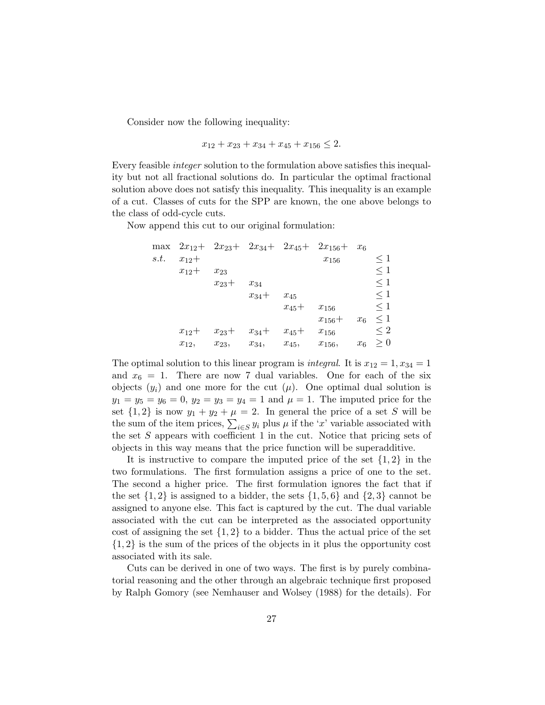Consider now the following inequality:

$$
x_{12} + x_{23} + x_{34} + x_{45} + x_{156} \le 2.
$$

Every feasible integer solution to the formulation above satisfies this inequality but not all fractional solutions do. In particular the optimal fractional solution above does not satisfy this inequality. This inequality is an example of a cut. Classes of cuts for the SPP are known, the one above belongs to the class of odd-cycle cuts.

Now append this cut to our original formulation:

|      |            |           |            |           | $\max$ $2x_{12}+2x_{23}+2x_{34}+2x_{45}+2x_{156}+$ | $x_6$ |          |
|------|------------|-----------|------------|-----------|----------------------------------------------------|-------|----------|
| s.t. | $x_{12}+$  |           |            |           | $x_{156}$                                          |       | $\leq 1$ |
|      | $x_{12}+$  | $x_{23}$  |            |           |                                                    |       | $\leq 1$ |
|      |            | $x_{23}+$ | $x_{34}$   |           |                                                    |       | $\leq 1$ |
|      |            |           | $x_{34}+$  | $x_{45}$  |                                                    |       | $\leq 1$ |
|      |            |           |            | $x_{45}+$ | $x_{156}$                                          |       | $\leq 1$ |
|      |            |           |            |           | $x_{156}+$                                         | $x_6$ | $\leq 1$ |
|      | $x_{12} +$ | $x_{23}+$ | $x_{34}+$  | $x_{45}+$ | $x_{156}$                                          |       | $\leq 2$ |
|      | $x_{12}$ , | $x_{23}$  | $x_{34}$ , | $x_{45}$  | $x_{156}$ ,                                        | $x_6$ | > 0      |
|      |            |           |            |           |                                                    |       |          |

The optimal solution to this linear program is *integral*. It is  $x_{12} = 1, x_{34} = 1$ and  $x_6 = 1$ . There are now 7 dual variables. One for each of the six objects  $(y_i)$  and one more for the cut  $(\mu)$ . One optimal dual solution is  $y_1 = y_5 = y_6 = 0, y_2 = y_3 = y_4 = 1$  and  $\mu = 1$ . The imputed price for the set  $\{1,2\}$  is now  $y_1 + y_2 + \mu = 2$ . In general the price of a set S will be the sum of the item prices,  $\sum_{i \in S} y_i$  plus  $\mu$  if the 'x' variable associated with the set  $S$  appears with coefficient 1 in the cut. Notice that pricing sets of objects in this way means that the price function will be superadditive.

It is instructive to compare the imputed price of the set  $\{1,2\}$  in the two formulations. The first formulation assigns a price of one to the set. The second a higher price. The first formulation ignores the fact that if the set  $\{1,2\}$  is assigned to a bidder, the sets  $\{1,5,6\}$  and  $\{2,3\}$  cannot be assigned to anyone else. This fact is captured by the cut. The dual variable associated with the cut can be interpreted as the associated opportunity cost of assigning the set  $\{1,2\}$  to a bidder. Thus the actual price of the set  $\{1, 2\}$  is the sum of the prices of the objects in it plus the opportunity cost associated with its sale.

Cuts can be derived in one of two ways. The first is by purely combinatorial reasoning and the other through an algebraic technique first proposed by Ralph Gomory (see Nemhauser and Wolsey (1988) for the details). For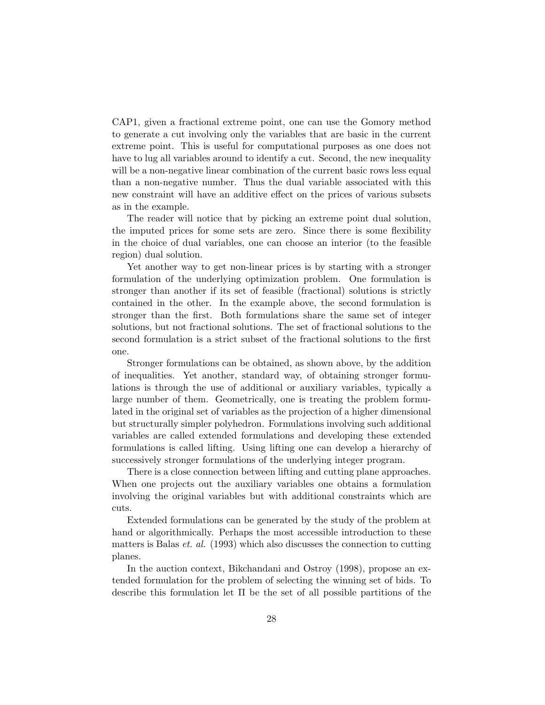CAP1, given a fractional extreme point, one can use the Gomory method to generate a cut involving only the variables that are basic in the current extreme point. This is useful for computational purposes as one does not have to lug all variables around to identify a cut. Second, the new inequality will be a non-negative linear combination of the current basic rows less equal than a non-negative number. Thus the dual variable associated with this new constraint will have an additive effect on the prices of various subsets as in the example.

The reader will notice that by picking an extreme point dual solution, the imputed prices for some sets are zero. Since there is some flexibility in the choice of dual variables, one can choose an interior (to the feasible region) dual solution.

Yet another way to get non-linear prices is by starting with a stronger formulation of the underlying optimization problem. One formulation is stronger than another if its set of feasible (fractional) solutions is strictly contained in the other. In the example above, the second formulation is stronger than the first. Both formulations share the same set of integer solutions, but not fractional solutions. The set of fractional solutions to the second formulation is a strict subset of the fractional solutions to the first one.

Stronger formulations can be obtained, as shown above, by the addition of inequalities. Yet another, standard way, of obtaining stronger formulations is through the use of additional or auxiliary variables, typically a large number of them. Geometrically, one is treating the problem formulated in the original set of variables as the projection of a higher dimensional but structurally simpler polyhedron. Formulations involving such additional variables are called extended formulations and developing these extended formulations is called lifting. Using lifting one can develop a hierarchy of successively stronger formulations of the underlying integer program.

There is a close connection between lifting and cutting plane approaches. When one projects out the auxiliary variables one obtains a formulation involving the original variables but with additional constraints which are cuts.

Extended formulations can be generated by the study of the problem at hand or algorithmically. Perhaps the most accessible introduction to these matters is Balas *et. al.* (1993) which also discusses the connection to cutting planes.

In the auction context, Bikchandani and Ostroy (1998), propose an extended formulation for the problem of selecting the winning set of bids. To describe this formulation let Π be the set of all possible partitions of the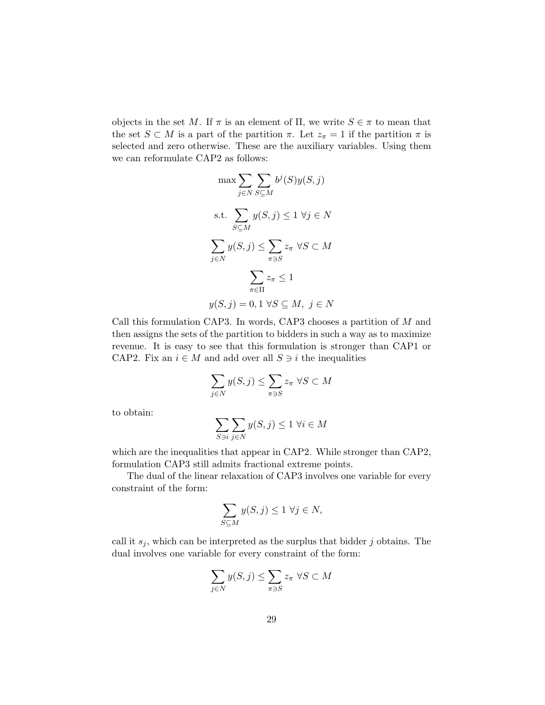objects in the set M. If  $\pi$  is an element of  $\Pi$ , we write  $S \in \pi$  to mean that the set  $S \subset M$  is a part of the partition  $\pi$ . Let  $z_{\pi} = 1$  if the partition  $\pi$  is selected and zero otherwise. These are the auxiliary variables. Using them we can reformulate CAP2 as follows:

$$
\max \sum_{j \in N} \sum_{S \subseteq M} b^{j}(S)y(S, j)
$$
  
s.t. 
$$
\sum_{S \subseteq M} y(S, j) \le 1 \ \forall j \in N
$$

$$
\sum_{j \in N} y(S, j) \le \sum_{\pi \ni S} z_{\pi} \ \forall S \subset M
$$

$$
\sum_{\pi \in \Pi} z_{\pi} \le 1
$$

$$
y(S, j) = 0, 1 \ \forall S \subseteq M, \ j \in N
$$

Call this formulation CAP3. In words, CAP3 chooses a partition of  $M$  and then assigns the sets of the partition to bidders in such a way as to maximize revenue. It is easy to see that this formulation is stronger than CAP1 or CAP2. Fix an  $i \in M$  and add over all  $S \ni i$  the inequalities

$$
\sum_{j \in N} y(S, j) \le \sum_{\pi \ni S} z_{\pi} \ \forall S \subset M
$$

to obtain:

$$
\sum_{S \ni i} \sum_{j \in N} y(S, j) \le 1 \,\,\forall i \in M
$$

which are the inequalities that appear in CAP2. While stronger than CAP2, formulation CAP3 still admits fractional extreme points.

The dual of the linear relaxation of CAP3 involves one variable for every constraint of the form:

$$
\sum_{S \subseteq M} y(S, j) \le 1 \,\,\forall j \in N,
$$

call it  $s_j$ , which can be interpreted as the surplus that bidder j obtains. The dual involves one variable for every constraint of the form:

$$
\sum_{j \in N} y(S, j) \le \sum_{\pi \ni S} z_{\pi} \ \forall S \subset M
$$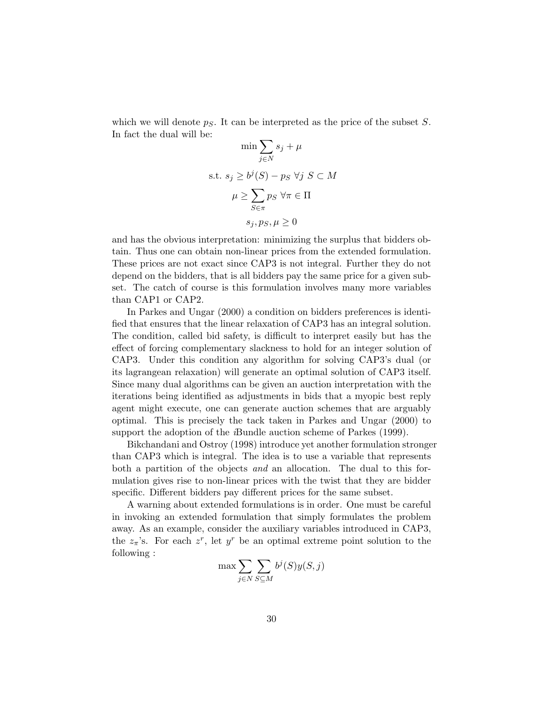which we will denote  $p<sub>S</sub>$ . It can be interpreted as the price of the subset S. In fact the dual will be:

$$
\min \sum_{j \in N} s_j + \mu
$$
  
s.t.  $s_j \ge b^j(S) - p_S \ \forall j \ S \subset M$   

$$
\mu \ge \sum_{S \in \pi} p_S \ \forall \pi \in \Pi
$$
  

$$
s_j, p_S, \mu \ge 0
$$

and has the obvious interpretation: minimizing the surplus that bidders obtain. Thus one can obtain non-linear prices from the extended formulation. These prices are not exact since CAP3 is not integral. Further they do not depend on the bidders, that is all bidders pay the same price for a given subset. The catch of course is this formulation involves many more variables than CAP1 or CAP2.

In Parkes and Ungar (2000) a condition on bidders preferences is identified that ensures that the linear relaxation of CAP3 has an integral solution. The condition, called bid safety, is difficult to interpret easily but has the effect of forcing complementary slackness to hold for an integer solution of CAP3. Under this condition any algorithm for solving CAP3's dual (or its lagrangean relaxation) will generate an optimal solution of CAP3 itself. Since many dual algorithms can be given an auction interpretation with the iterations being identified as adjustments in bids that a myopic best reply agent might execute, one can generate auction schemes that are arguably optimal. This is precisely the tack taken in Parkes and Ungar (2000) to support the adoption of the *i*Bundle auction scheme of Parkes (1999).

Bikchandani and Ostroy (1998) introduce yet another formulation stronger than CAP3 which is integral. The idea is to use a variable that represents both a partition of the objects and an allocation. The dual to this formulation gives rise to non-linear prices with the twist that they are bidder specific. Different bidders pay different prices for the same subset.

A warning about extended formulations is in order. One must be careful in invoking an extended formulation that simply formulates the problem away. As an example, consider the auxiliary variables introduced in CAP3, the  $z_{\pi}$ 's. For each  $z^r$ , let  $y^r$  be an optimal extreme point solution to the following :

$$
\max \sum_{j \in N} \sum_{S \subseteq M} b^j(S) y(S,j)
$$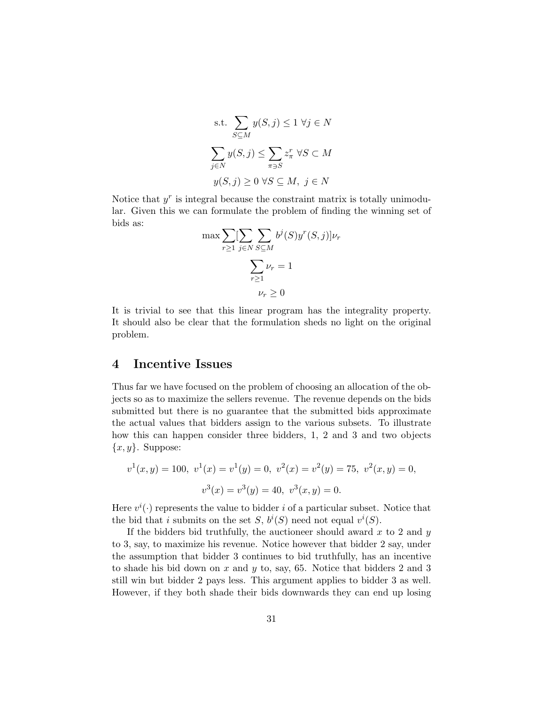s.t. 
$$
\sum_{S \subseteq M} y(S, j) \le 1 \ \forall j \in N
$$

$$
\sum_{j \in N} y(S, j) \le \sum_{\pi \ni S} z_{\pi}^r \ \forall S \subset M
$$

$$
y(S, j) \ge 0 \ \forall S \subseteq M, \ j \in N
$$

<span id="page-30-0"></span>Notice that  $y^r$  is integral because the constraint matrix is totally unimodular. Given this we can formulate the problem of finding the winning set of bids as:

$$
\max \sum_{r\geq 1} \sum_{j\in N} \sum_{S\subseteq M} b^j(S) y^r(S,j) \nu_r
$$

$$
\sum_{r\geq 1} \nu_r = 1
$$

$$
\nu_r \geq 0
$$

It is trivial to see that this linear program has the integrality property. It should also be clear that the formulation sheds no light on the original problem.

# 4 Incentive Issues

Thus far we have focused on the problem of choosing an allocation of the objects so as to maximize the sellers revenue. The revenue depends on the bids submitted but there is no guarantee that the submitted bids approximate the actual values that bidders assign to the various subsets. To illustrate how this can happen consider three bidders, 1, 2 and 3 and two objects  ${x, y}$ . Suppose:

$$
v^{1}(x, y) = 100
$$
,  $v^{1}(x) = v^{1}(y) = 0$ ,  $v^{2}(x) = v^{2}(y) = 75$ ,  $v^{2}(x, y) = 0$ ,  
 $v^{3}(x) = v^{3}(y) = 40$ ,  $v^{3}(x, y) = 0$ .

Here  $v^i(\cdot)$  represents the value to bidder *i* of a particular subset. Notice that the bid that i submits on the set S,  $b^i(S)$  need not equal  $v^i(S)$ .

If the bidders bid truthfully, the auctioneer should award  $x$  to 2 and  $y$ to 3, say, to maximize his revenue. Notice however that bidder 2 say, under the assumption that bidder 3 continues to bid truthfully, has an incentive to shade his bid down on x and y to, say, 65. Notice that bidders 2 and 3 still win but bidder 2 pays less. This argument applies to bidder 3 as well. However, if they both shade their bids downwards they can end up losing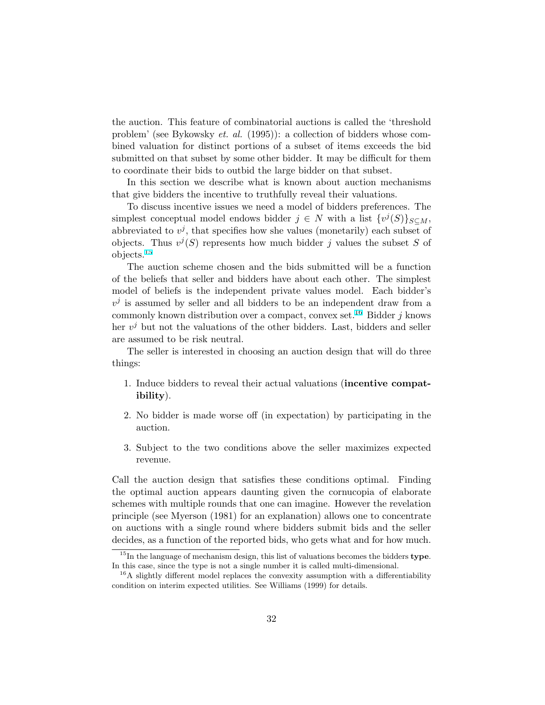the auction. This feature of combinatorial auctions is called the 'threshold problem' (see Bykowsky et. al. (1995)): a collection of bidders whose combined valuation for distinct portions of a subset of items exceeds the bid submitted on that subset by some other bidder. It may be difficult for them to coordinate their bids to outbid the large bidder on that subset.

In this section we describe what is known about auction mechanisms that give bidders the incentive to truthfully reveal their valuations.

To discuss incentive issues we need a model of bidders preferences. The simplest conceptual model endows bidder  $j \in N$  with a list  $\{v^j(S)\}_{S \subseteq M}$ , abbreviated to  $v^j$ , that specifies how she values (monetarily) each subset of objects. Thus  $v^j(S)$  represents how much bidder j values the subset S of objects.<sup>15</sup>

The auction scheme chosen and the bids submitted will be a function of the beliefs that seller and bidders have about each other. The simplest model of beliefs is the independent private values model. Each bidder's  $v^j$  is assumed by seller and all bidders to be an independent draw from a commonly known distribution over a compact, convex set.<sup>16</sup> Bidder j knows her  $v^j$  but not the valuations of the other bidders. Last, bidders and seller are assumed to be risk neutral.

The seller is interested in choosing an auction design that will do three things:

- 1. Induce bidders to reveal their actual valuations (incentive compatibility).
- 2. No bidder is made worse off (in expectation) by participating in the auction.
- 3. Subject to the two conditions above the seller maximizes expected revenue.

Call the auction design that satisfies these conditions optimal. Finding the optimal auction appears daunting given the cornucopia of elaborate schemes with multiple rounds that one can imagine. However the revelation principle (see Myerson (1981) for an explanation) allows one to concentrate on auctions with a single round where bidders submit bids and the seller decides, as a function of the reported bids, who gets what and for how much.

 $15$ In the language of mechanism design, this list of valuations becomes the bidders type. In this case, since the type is not a single number it is called multi-dimensional.

 $16A$  slightly different model replaces the convexity assumption with a differentiability condition on interim expected utilities. See Williams (1999) for details.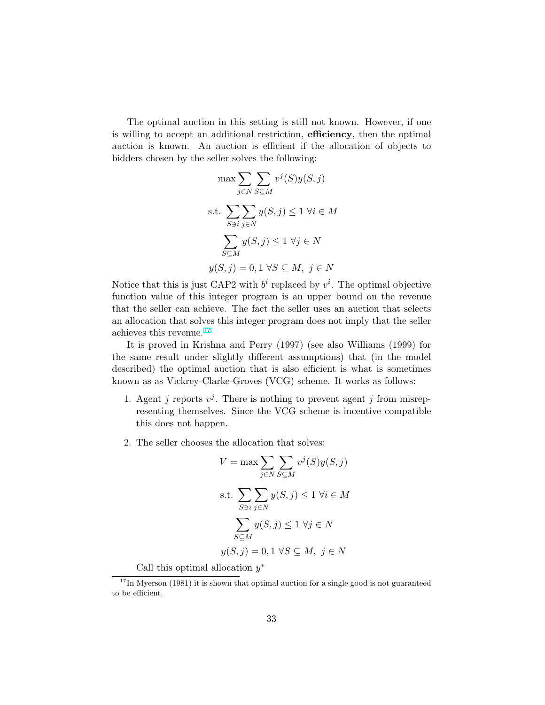The optimal auction in this setting is still not known. However, if one is willing to accept an additional restriction, efficiency, then the optimal auction is known. An auction is efficient if the allocation of objects to bidders chosen by the seller solves the following:

$$
\max \sum_{j \in N} \sum_{S \subseteq M} v^j(S) y(S, j)
$$
  
s.t. 
$$
\sum_{S \ni i} \sum_{j \in N} y(S, j) \le 1 \ \forall i \in M
$$

$$
\sum_{S \subseteq M} y(S, j) \le 1 \ \forall j \in N
$$

$$
y(S, j) = 0, 1 \ \forall S \subseteq M, \ j \in N
$$

Notice that this is just CAP2 with  $b^i$  replaced by  $v^i$ . The optimal objective function value of this integer program is an upper bound on the revenue that the seller can achieve. The fact the seller uses an auction that selects an allocation that solves this integer program does not imply that the seller achieves this revenue.<sup>17</sup>

It is proved in Krishna and Perry (1997) (see also Williams (1999) for the same result under slightly different assumptions) that (in the model described) the optimal auction that is also efficient is what is sometimes known as as Vickrey-Clarke-Groves (VCG) scheme. It works as follows:

- 1. Agent j reports  $v^j$ . There is nothing to prevent agent j from misrepresenting themselves. Since the VCG scheme is incentive compatible this does not happen.
- 2. The seller chooses the allocation that solves:

$$
V = \max \sum_{j \in N} \sum_{S \subseteq M} v^j(S)y(S, j)
$$
  
s.t. 
$$
\sum_{S \ni i} \sum_{j \in N} y(S, j) \le 1 \ \forall i \in M
$$

$$
\sum_{S \subseteq M} y(S, j) \le 1 \ \forall j \in N
$$

$$
y(S, j) = 0, 1 \ \forall S \subseteq M, \ j \in N
$$

Call this optimal allocation  $y^*$ 

 $17$ In Myerson (1981) it is shown that optimal auction for a single good is not guaranteed to be efficient.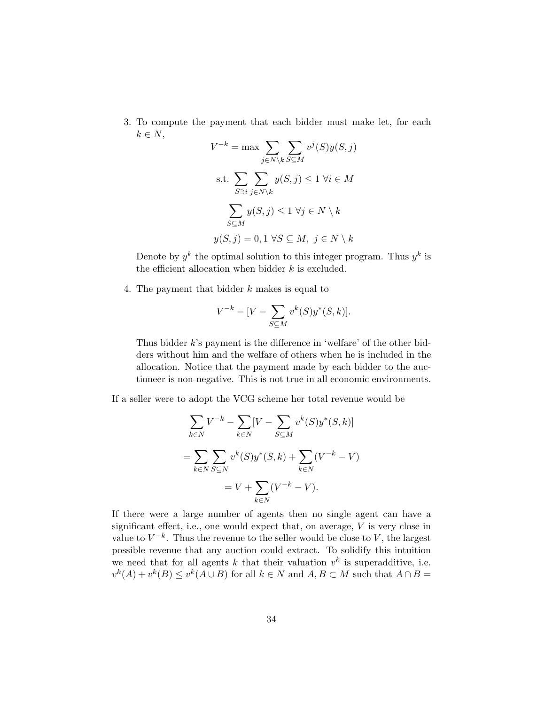3. To compute the payment that each bidder must make let, for each  $k \in N$ ,

$$
V^{-k} = \max \sum_{j \in N \setminus k} \sum_{S \subseteq M} v^{j}(S)y(S, j)
$$
  
s.t. 
$$
\sum_{S \ni j} \sum_{j \in N \setminus k} y(S, j) \leq 1 \ \forall i \in M
$$

$$
\sum_{S \subseteq M} y(S, j) \leq 1 \ \forall j \in N \setminus k
$$

$$
y(S, j) = 0, 1 \ \forall S \subseteq M, \ j \in N \setminus k
$$

Denote by  $y^k$  the optimal solution to this integer program. Thus  $y^k$  is the efficient allocation when bidder  $k$  is excluded.

4. The payment that bidder k makes is equal to

$$
V^{-k} - [V - \sum_{S \subseteq M} v^k(S)y^*(S, k)].
$$

Thus bidder  $k$ 's payment is the difference in 'welfare' of the other bidders without him and the welfare of others when he is included in the allocation. Notice that the payment made by each bidder to the auctioneer is non-negative. This is not true in all economic environments.

If a seller were to adopt the VCG scheme her total revenue would be

$$
\sum_{k \in N} V^{-k} - \sum_{k \in N} [V - \sum_{S \subseteq M} v^k(S)y^*(S, k)]
$$
  
= 
$$
\sum_{k \in N} \sum_{S \subseteq N} v^k(S)y^*(S, k) + \sum_{k \in N} (V^{-k} - V)
$$
  
= 
$$
V + \sum_{k \in N} (V^{-k} - V).
$$

If there were a large number of agents then no single agent can have a significant effect, i.e., one would expect that, on average, V is very close in value to  $V^{-k}$ . Thus the revenue to the seller would be close to V, the largest possible revenue that any auction could extract. To solidify this intuition we need that for all agents  $k$  that their valuation  $v^k$  is superadditive, i.e.  $v^k(A) + v^k(B) \le v^k(A \cup B)$  for all  $k \in N$  and  $A, B \subset M$  such that  $A \cap B =$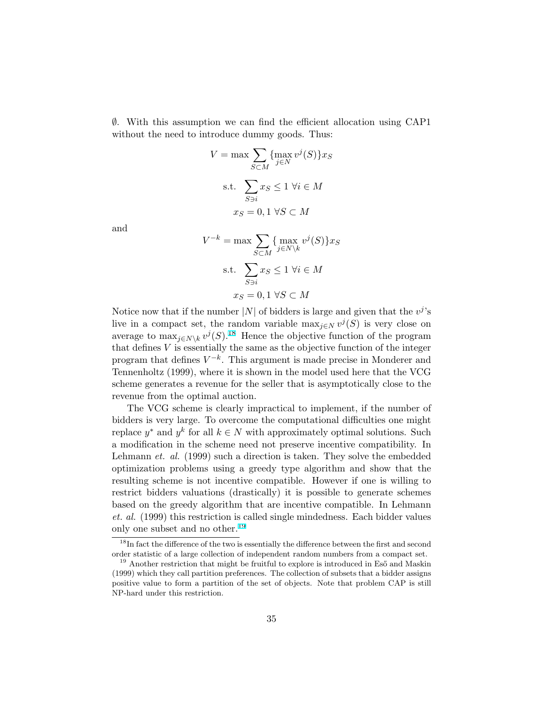∅. With this assumption we can find the efficient allocation using CAP1 without the need to introduce dummy goods. Thus:

$$
V = \max \sum_{S \subset M} \{ \max_{j \in N} v^{j}(S) \} x_{S}
$$
  
s.t. 
$$
\sum_{S \ni i} x_{S} \le 1 \ \forall i \in M
$$

$$
x_{S} = 0, 1 \ \forall S \subset M
$$

and

$$
V^{-k} = \max \sum_{S \subset M} \{ \max_{j \in N \setminus k} v^{j}(S) \} x_{S}
$$
  
s.t. 
$$
\sum_{S \ni i} x_{S} \le 1 \ \forall i \in M
$$

$$
x_{S} = 0, 1 \ \forall S \subset M
$$

Notice now that if the number |N| of bidders is large and given that the  $v^j$ 's live in a compact set, the random variable  $\max_{j \in N} v^j(S)$  is very close on average to  $\max_{j \in N \setminus k} v^j(S)$ .<sup>18</sup> Hence the objective function of the program that defines  $V$  is essentially the same as the objective function of the integer program that defines  $V^{-k}$ . This argument is made precise in Monderer and Tennenholtz (1999), where it is shown in the model used here that the VCG scheme generates a revenue for the seller that is asymptotically close to the revenue from the optimal auction.

The VCG scheme is clearly impractical to implement, if the number of bidders is very large. To overcome the computational difficulties one might replace  $y^*$  and  $y^k$  for all  $k \in N$  with approximately optimal solutions. Such a modification in the scheme need not preserve incentive compatibility. In Lehmann *et. al.* (1999) such a direction is taken. They solve the embedded optimization problems using a greedy type algorithm and show that the resulting scheme is not incentive compatible. However if one is willing to restrict bidders valuations (drastically) it is possible to generate schemes based on the greedy algorithm that are incentive compatible. In Lehmann et. al. (1999) this restriction is called single mindedness. Each bidder values only one subset and no other.<sup>19</sup>

<sup>&</sup>lt;sup>18</sup>In fact the difference of the two is essentially the difference between the first and second order statistic of a large collection of independent random numbers from a compact set.

 $19$  Another restriction that might be fruitful to explore is introduced in Es<sup> $\ddot{o}$ </sup> and Maskin (1999) which they call partition preferences. The collection of subsets that a bidder assigns positive value to form a partition of the set of objects. Note that problem CAP is still NP-hard under this restriction.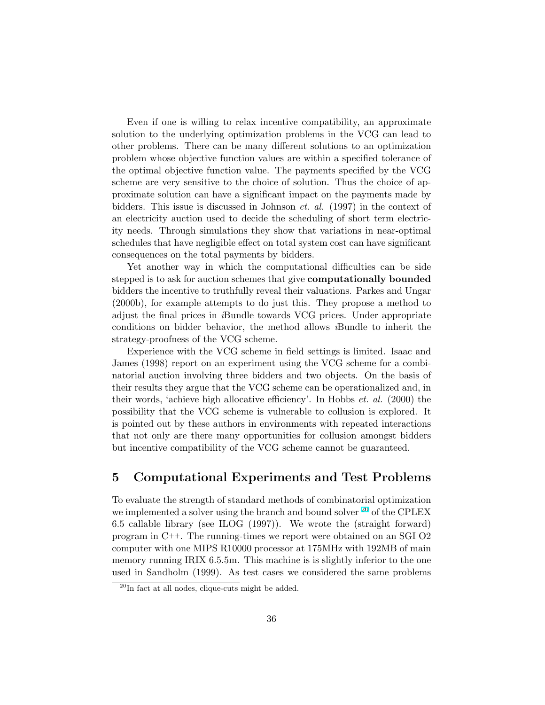<span id="page-35-0"></span>Even if one is willing to relax incentive compatibility, an approximate solution to the underlying optimization problems in the VCG can lead to other problems. There can be many different solutions to an optimization problem whose objective function values are within a specified tolerance of the optimal objective function value. The payments specified by the VCG scheme are very sensitive to the choice of solution. Thus the choice of approximate solution can have a significant impact on the payments made by bidders. This issue is discussed in Johnson et. al. (1997) in the context of an electricity auction used to decide the scheduling of short term electricity needs. Through simulations they show that variations in near-optimal schedules that have negligible effect on total system cost can have significant consequences on the total payments by bidders.

Yet another way in which the computational difficulties can be side stepped is to ask for auction schemes that give computationally bounded bidders the incentive to truthfully reveal their valuations. Parkes and Ungar (2000b), for example attempts to do just this. They propose a method to adjust the final prices in iBundle towards VCG prices. Under appropriate conditions on bidder behavior, the method allows iBundle to inherit the strategy-proofness of the VCG scheme.

Experience with the VCG scheme in field settings is limited. Isaac and James (1998) report on an experiment using the VCG scheme for a combinatorial auction involving three bidders and two objects. On the basis of their results they argue that the VCG scheme can be operationalized and, in their words, 'achieve high allocative efficiency'. In Hobbs et. al. (2000) the possibility that the VCG scheme is vulnerable to collusion is explored. It is pointed out by these authors in environments with repeated interactions that not only are there many opportunities for collusion amongst bidders but incentive compatibility of the VCG scheme cannot be guaranteed.

# 5 Computational Experiments and Test Problems

To evaluate the strength of standard methods of combinatorial optimization we implemented a solver using the branch and bound solver  $^{20}$  of the CPLEX 6.5 callable library (see ILOG (1997)). We wrote the (straight forward) program in C++. The running-times we report were obtained on an SGI O2 computer with one MIPS R10000 processor at 175MHz with 192MB of main memory running IRIX 6.5.5m. This machine is is slightly inferior to the one used in Sandholm (1999). As test cases we considered the same problems

<sup>20</sup>In fact at all nodes, clique-cuts might be added.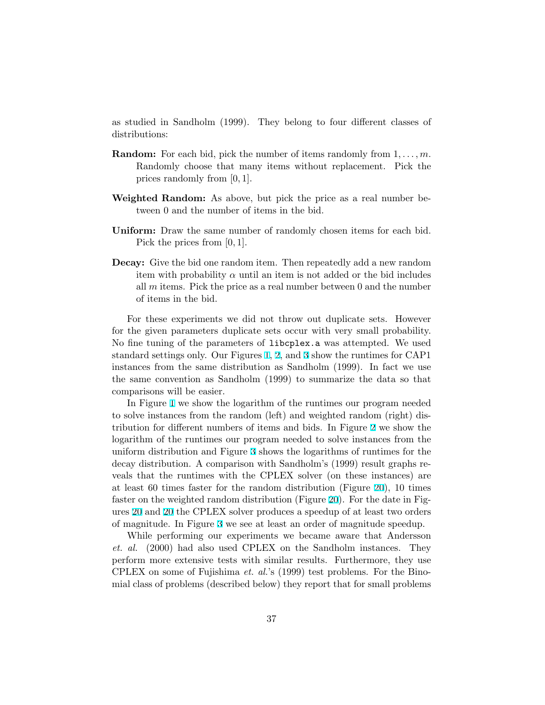as studied in Sandholm (1999). They belong to four different classes of distributions:

- **Random:** For each bid, pick the number of items randomly from  $1, \ldots, m$ . Randomly choose that many items without replacement. Pick the prices randomly from [0, 1].
- Weighted Random: As above, but pick the price as a real number between 0 and the number of items in the bid.
- Uniform: Draw the same number of randomly chosen items for each bid. Pick the prices from [0, 1].
- Decay: Give the bid one random item. Then repeatedly add a new random item with probability  $\alpha$  until an item is not added or the bid includes all  $m$  items. Pick the price as a real number between 0 and the number of items in the bid.

For these experiments we did not throw out duplicate sets. However for the given parameters duplicate sets occur with very small probability. No fine tuning of the parameters of libcplex.a was attempted. We used standard settings only. Our Figures [1,](#page-37-0) [2,](#page-38-0) and [3](#page-39-0) show the runtimes for CAP1 instances from the same distribution as Sandholm (1999). In fact we use the same convention as Sandholm (1999) to summarize the data so that comparisons will be easier.

In Figure [1](#page-37-0) we show the logarithm of the runtimes our program needed to solve instances from the random (left) and weighted random (right) distribution for different numbers of items and bids. In Figure [2](#page-38-0) we show the logarithm of the runtimes our program needed to solve instances from the uniform distribution and Figure [3](#page-39-0) shows the logarithms of runtimes for the decay distribution. A comparison with Sandholm's (1999) result graphs reveals that the runtimes with the CPLEX solver (on these instances) are at least 60 times faster for the random distribution (Figure [20\)](#page-37-0), 10 times faster on the weighted random distribution (Figure [20](#page-37-0)). For the date in Figures [20](#page-38-0) and [20](#page-38-0) the CPLEX solver produces a speedup of at least two orders of magnitude. In Figure [3](#page-39-0) we see at least an order of magnitude speedup.

While performing our experiments we became aware that Andersson et. al. (2000) had also used CPLEX on the Sandholm instances. They perform more extensive tests with similar results. Furthermore, they use CPLEX on some of Fujishima et. al.'s (1999) test problems. For the Binomial class of problems (described below) they report that for small problems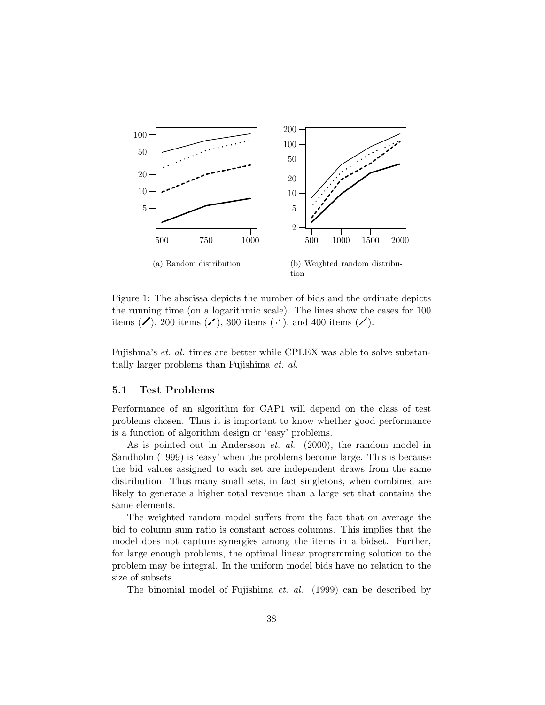<span id="page-37-0"></span>

Figure 1: The abscissa depicts the number of bids and the ordinate depicts the running time (on a logarithmic scale). The lines show the cases for 100 items  $(\checkmark)$ , 200 items  $(\checkmark)$ , 300 items  $(\cdot)$ , and 400 items  $(\checkmark)$ .

Fujishma's et. al. times are better while CPLEX was able to solve substantially larger problems than Fujishima et. al.

### 5.1 Test Problems

Performance of an algorithm for CAP1 will depend on the class of test problems chosen. Thus it is important to know whether good performance is a function of algorithm design or 'easy' problems.

As is pointed out in Andersson *et. al.* (2000), the random model in Sandholm (1999) is 'easy' when the problems become large. This is because the bid values assigned to each set are independent draws from the same distribution. Thus many small sets, in fact singletons, when combined are likely to generate a higher total revenue than a large set that contains the same elements.

The weighted random model suffers from the fact that on average the bid to column sum ratio is constant across columns. This implies that the model does not capture synergies among the items in a bidset. Further, for large enough problems, the optimal linear programming solution to the problem may be integral. In the uniform model bids have no relation to the size of subsets.

The binomial model of Fujishima et. al. (1999) can be described by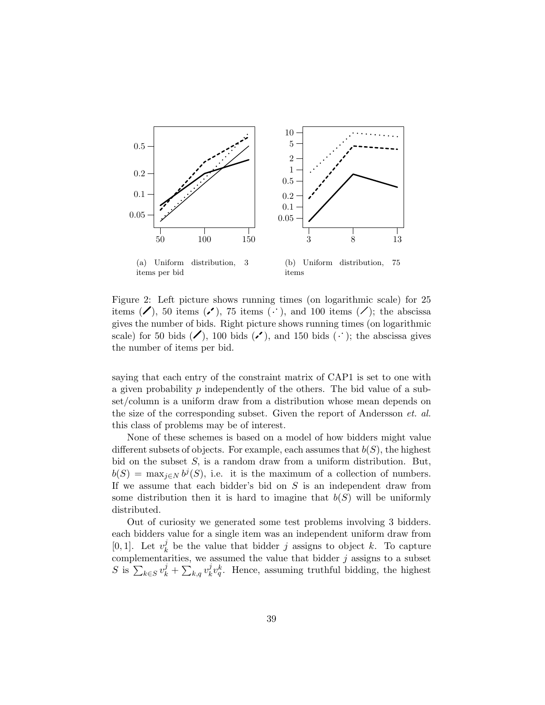<span id="page-38-0"></span>

Figure 2: Left picture shows running times (on logarithmic scale) for 25 items ( $\angle$ ), 50 items ( $\angle$ ), 75 items ( $\cdot$ ), and 100 items ( $\angle$ ); the abscissa gives the number of bids. Right picture shows running times (on logarithmic scale) for 50 bids ( $\angle$ ), 100 bids ( $\angle$ ), and 150 bids ( $\cdot$ ); the abscissa gives the number of items per bid.

saying that each entry of the constraint matrix of CAP1 is set to one with a given probability  $p$  independently of the others. The bid value of a subset/column is a uniform draw from a distribution whose mean depends on the size of the corresponding subset. Given the report of Andersson *et. al.* this class of problems may be of interest.

None of these schemes is based on a model of how bidders might value different subsets of objects. For example, each assumes that  $b(S)$ , the highest bid on the subset S, is a random draw from a uniform distribution. But,  $b(S) = \max_{j \in N} b^{j}(S)$ , i.e. it is the maximum of a collection of numbers. If we assume that each bidder's bid on  $S$  is an independent draw from some distribution then it is hard to imagine that  $b(S)$  will be uniformly distributed.

Out of curiosity we generated some test problems involving 3 bidders. each bidders value for a single item was an independent uniform draw from [0, 1]. Let  $v_k^j$  $\lambda_k^j$  be the value that bidder j assigns to object k. To capture complementarities, we assumed the value that bidder  $j$  assigns to a subset S is  $\sum_{k \in S} v_k^j + \sum_{k,q} v_k^j$  $\dot{k}v_q^k$ . Hence, assuming truthful bidding, the highest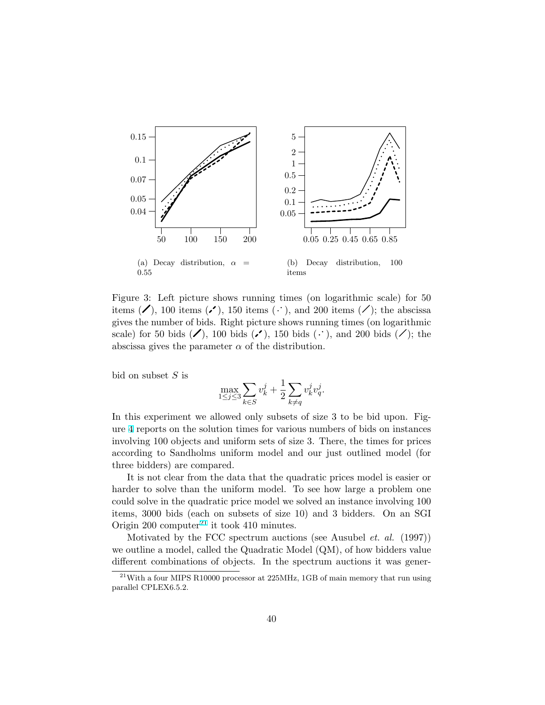<span id="page-39-0"></span>

Figure 3: Left picture shows running times (on logarithmic scale) for 50 items  $(\checkmark)$ , 100 items  $(\checkmark)$ , 150 items  $(\cdot)$ , and 200 items  $(\checkmark)$ ; the abscissa gives the number of bids. Right picture shows running times (on logarithmic scale) for 50 bids ( $\angle$ ), 100 bids ( $\angle$ ), 150 bids ( $\cdot$ ), and 200 bids ( $\angle$ ); the abscissa gives the parameter  $\alpha$  of the distribution.

bid on subset  $S$  is

$$
\max_{1 \le j \le 3} \sum_{k \in S} v_k^j + \frac{1}{2} \sum_{k \ne q} v_k^j v_q^j.
$$

In this experiment we allowed only subsets of size 3 to be bid upon. Figure [4](#page-40-0) reports on the solution times for various numbers of bids on instances involving 100 objects and uniform sets of size 3. There, the times for prices according to Sandholms uniform model and our just outlined model (for three bidders) are compared.

It is not clear from the data that the quadratic prices model is easier or harder to solve than the uniform model. To see how large a problem one could solve in the quadratic price model we solved an instance involving 100 items, 3000 bids (each on subsets of size 10) and 3 bidders. On an SGI Origin 200 computer<sup>21</sup> it took 410 minutes.

Motivated by the FCC spectrum auctions (see Ausubel *et. al.*  $(1997)$ ) we outline a model, called the Quadratic Model (QM), of how bidders value different combinations of objects. In the spectrum auctions it was gener-

<sup>21</sup>With a four MIPS R10000 processor at 225MHz, 1GB of main memory that run using parallel CPLEX6.5.2.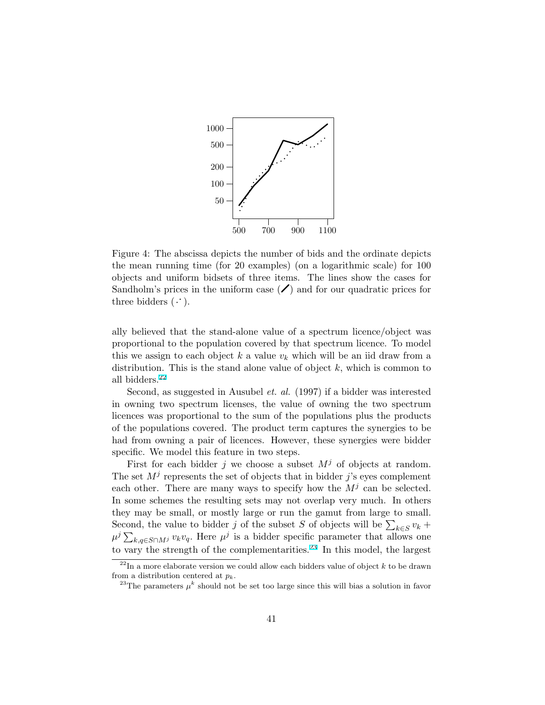<span id="page-40-0"></span>

Figure 4: The abscissa depicts the number of bids and the ordinate depicts the mean running time (for 20 examples) (on a logarithmic scale) for 100 objects and uniform bidsets of three items. The lines show the cases for Sandholm's prices in the uniform case  $(\angle)$  and for our quadratic prices for three bidders  $(\cdot)$ .

ally believed that the stand-alone value of a spectrum licence/object was proportional to the population covered by that spectrum licence. To model this we assign to each object k a value  $v_k$  which will be an iid draw from a distribution. This is the stand alone value of object  $k$ , which is common to all bidders.  $\!\!^{22}$ 

Second, as suggested in Ausubel et. al. (1997) if a bidder was interested in owning two spectrum licenses, the value of owning the two spectrum licences was proportional to the sum of the populations plus the products of the populations covered. The product term captures the synergies to be had from owning a pair of licences. However, these synergies were bidder specific. We model this feature in two steps.

First for each bidder j we choose a subset  $M^j$  of objects at random. The set  $M^j$  represents the set of objects that in bidder j's eyes complement each other. There are many ways to specify how the  $M^j$  can be selected. In some schemes the resulting sets may not overlap very much. In others they may be small, or mostly large or run the gamut from large to small. Second, the value to bidder j of the subset S of objects will be  $\sum_{k \in S} v_k +$  $\mu^j \sum_{k,q \in S \cap M^j} v_k v_q$ . Here  $\mu^j$  is a bidder specific parameter that allows one to vary the strength of the complementarities.<sup>23</sup> In this model, the largest

 $^{22}$ In a more elaborate version we could allow each bidders value of object k to be drawn from a distribution centered at  $p_k$ .

<sup>&</sup>lt;sup>23</sup>The parameters  $\mu^k$  should not be set too large since this will bias a solution in favor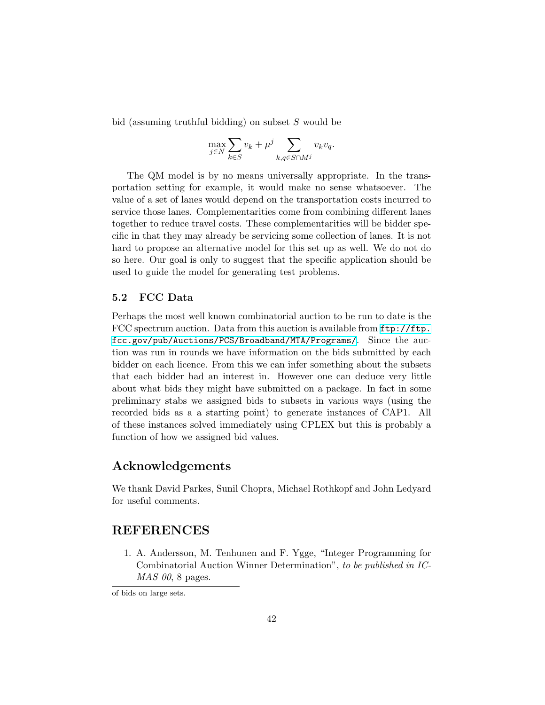<span id="page-41-0"></span>bid (assuming truthful bidding) on subset S would be

$$
\max_{j \in N} \sum_{k \in S} v_k + \mu^j \sum_{k,q \in S \cap M^j} v_k v_q.
$$

The QM model is by no means universally appropriate. In the transportation setting for example, it would make no sense whatsoever. The value of a set of lanes would depend on the transportation costs incurred to service those lanes. Complementarities come from combining different lanes together to reduce travel costs. These complementarities will be bidder specific in that they may already be servicing some collection of lanes. It is not hard to propose an alternative model for this set up as well. We do not do so here. Our goal is only to suggest that the specific application should be used to guide the model for generating test problems.

## 5.2 FCC Data

Perhaps the most well known combinatorial auction to be run to date is the FCC spectrum auction. Data from this auction is available from [ftp://ftp.](ftp://ftp.fcc.gov/pub/Auctions/PCS/Broadband/MTA/Programs/) [fcc.gov/pub/Auctions/PCS/Broadband/MTA/Programs/](ftp://ftp.fcc.gov/pub/Auctions/PCS/Broadband/MTA/Programs/). Since the auction was run in rounds we have information on the bids submitted by each bidder on each licence. From this we can infer something about the subsets that each bidder had an interest in. However one can deduce very little about what bids they might have submitted on a package. In fact in some preliminary stabs we assigned bids to subsets in various ways (using the recorded bids as a a starting point) to generate instances of CAP1. All of these instances solved immediately using CPLEX but this is probably a function of how we assigned bid values.

# Acknowledgements

We thank David Parkes, Sunil Chopra, Michael Rothkopf and John Ledyard for useful comments.

# REFERENCES

1. A. Andersson, M. Tenhunen and F. Ygge, "Integer Programming for Combinatorial Auction Winner Determination", to be published in IC- $MAS$  00, 8 pages.

of bids on large sets.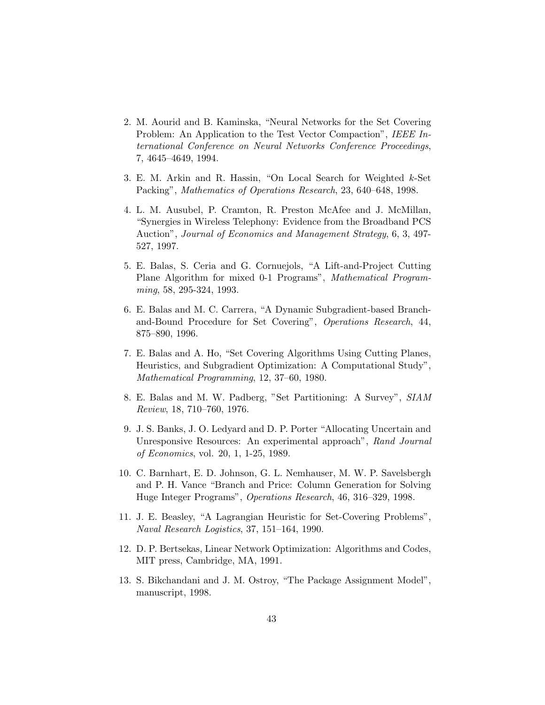- 2. M. Aourid and B. Kaminska, "Neural Networks for the Set Covering Problem: An Application to the Test Vector Compaction", IEEE International Conference on Neural Networks Conference Proceedings, 7, 4645–4649, 1994.
- 3. E. M. Arkin and R. Hassin, "On Local Search for Weighted k-Set Packing", Mathematics of Operations Research, 23, 640–648, 1998.
- 4. L. M. Ausubel, P. Cramton, R. Preston McAfee and J. McMillan, "Synergies in Wireless Telephony: Evidence from the Broadband PCS Auction", Journal of Economics and Management Strategy, 6, 3, 497- 527, 1997.
- 5. E. Balas, S. Ceria and G. Cornuejols, "A Lift-and-Project Cutting Plane Algorithm for mixed 0-1 Programs", Mathematical Programming, 58, 295-324, 1993.
- 6. E. Balas and M. C. Carrera, "A Dynamic Subgradient-based Branchand-Bound Procedure for Set Covering", Operations Research, 44, 875–890, 1996.
- 7. E. Balas and A. Ho, "Set Covering Algorithms Using Cutting Planes, Heuristics, and Subgradient Optimization: A Computational Study", Mathematical Programming, 12, 37–60, 1980.
- 8. E. Balas and M. W. Padberg, "Set Partitioning: A Survey", SIAM Review, 18, 710–760, 1976.
- 9. J. S. Banks, J. O. Ledyard and D. P. Porter "Allocating Uncertain and Unresponsive Resources: An experimental approach", Rand Journal of Economics, vol. 20, 1, 1-25, 1989.
- 10. C. Barnhart, E. D. Johnson, G. L. Nemhauser, M. W. P. Savelsbergh and P. H. Vance "Branch and Price: Column Generation for Solving Huge Integer Programs", Operations Research, 46, 316–329, 1998.
- 11. J. E. Beasley, "A Lagrangian Heuristic for Set-Covering Problems", Naval Research Logistics, 37, 151–164, 1990.
- 12. D. P. Bertsekas, Linear Network Optimization: Algorithms and Codes, MIT press, Cambridge, MA, 1991.
- 13. S. Bikchandani and J. M. Ostroy, "The Package Assignment Model", manuscript, 1998.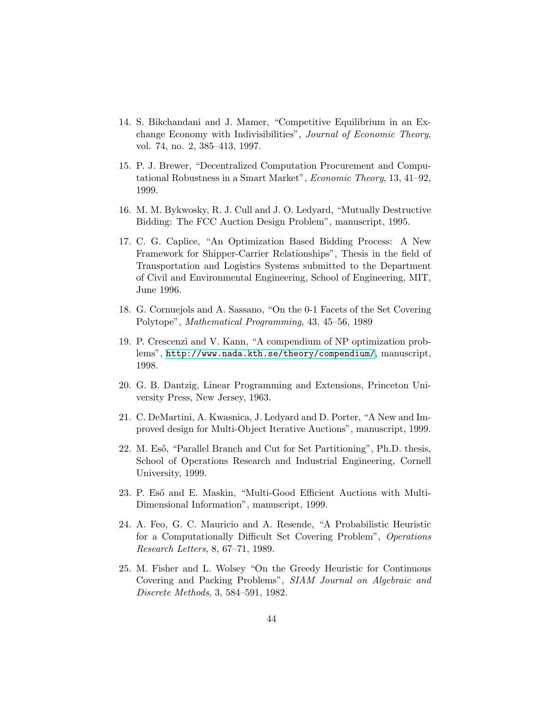- 14. S. Bikchandani and J. Mamer, "Competitive Equilibrium in an Exchange Economy with Indivisibilities", Journal of Economic Theory, vol. 74, no. 2, 385–413, 1997.
- 15. P. J. Brewer, "Decentralized Computation Procurement and Computational Robustness in a Smart Market", Economic Theory, 13, 41–92, 1999.
- 16. M. M. Bykwosky, R. J. Cull and J. O. Ledyard, "Mutually Destructive Bidding: The FCC Auction Design Problem", manuscript, 1995.
- 17. C. G. Caplice, "An Optimization Based Bidding Process: A New Framework for Shipper-Carrier Relationships", Thesis in the field of Transportation and Logistics Systems submitted to the Department of Civil and Environmental Engineering, School of Engineering, MIT, June 1996.
- 18. G. Cornuejols and A. Sassano, "On the 0-1 Facets of the Set Covering Polytope", Mathematical Programming, 43, 45–56, 1989
- 19. P. Crescenzi and V. Kann, "A compendium of NP optimization problems", <http://www.nada.kth.se/theory/compendium/>, manuscript, 1998.
- 20. G. B. Dantzig, Linear Programming and Extensions, Princeton University Press, New Jersey, 1963.
- 21. C. DeMartini, A. Kwasnica, J. Ledyard and D. Porter, "A New and Improved design for Multi-Object Iterative Auctions", manuscript, 1999.
- 22. M. Eső, "Parallel Branch and Cut for Set Partitioning", Ph.D. thesis, School of Operations Research and Industrial Engineering, Cornell University, 1999.
- 23. P. Eső and E. Maskin, "Multi-Good Efficient Auctions with Multi-Dimensional Information", manuscript, 1999.
- 24. A. Feo, G. C. Mauricio and A. Resende, "A Probabilistic Heuristic for a Computationally Difficult Set Covering Problem", Operations Research Letters, 8, 67–71, 1989.
- 25. M. Fisher and L. Wolsey "On the Greedy Heuristic for Continuous Covering and Packing Problems", SIAM Journal on Algebraic and Discrete Methods, 3, 584–591, 1982.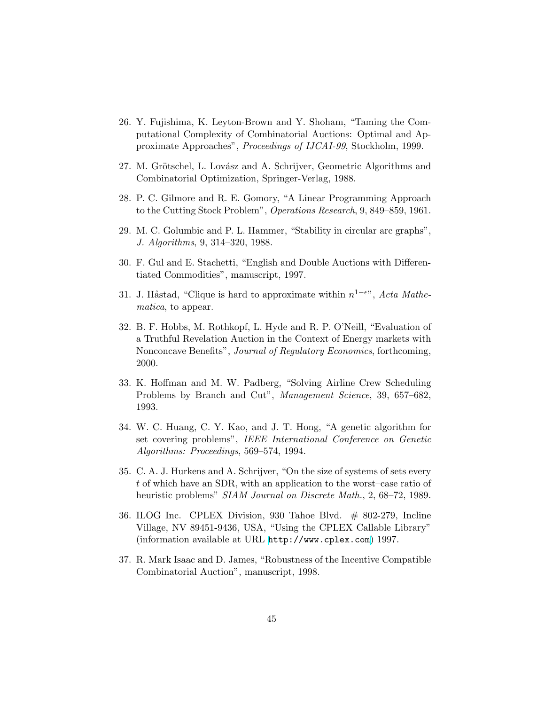- 26. Y. Fujishima, K. Leyton-Brown and Y. Shoham, "Taming the Computational Complexity of Combinatorial Auctions: Optimal and Approximate Approaches", Proceedings of IJCAI-99, Stockholm, 1999.
- 27. M. Grötschel, L. Lovász and A. Schrijver, Geometric Algorithms and Combinatorial Optimization, Springer-Verlag, 1988.
- 28. P. C. Gilmore and R. E. Gomory, "A Linear Programming Approach to the Cutting Stock Problem", Operations Research, 9, 849–859, 1961.
- 29. M. C. Golumbic and P. L. Hammer, "Stability in circular arc graphs", J. Algorithms, 9, 314–320, 1988.
- 30. F. Gul and E. Stachetti, "English and Double Auctions with Differentiated Commodities", manuscript, 1997.
- 31. J. Håstad, "Clique is hard to approximate within  $n^{1-\epsilon}$ ", Acta Mathematica, to appear.
- 32. B. F. Hobbs, M. Rothkopf, L. Hyde and R. P. O'Neill, "Evaluation of a Truthful Revelation Auction in the Context of Energy markets with Nonconcave Benefits", Journal of Regulatory Economics, forthcoming, 2000.
- 33. K. Hoffman and M. W. Padberg, "Solving Airline Crew Scheduling Problems by Branch and Cut", Management Science, 39, 657–682, 1993.
- 34. W. C. Huang, C. Y. Kao, and J. T. Hong, "A genetic algorithm for set covering problems", IEEE International Conference on Genetic Algorithms: Proceedings, 569–574, 1994.
- 35. C. A. J. Hurkens and A. Schrijver, "On the size of systems of sets every t of which have an SDR, with an application to the worst–case ratio of heuristic problems" SIAM Journal on Discrete Math., 2, 68–72, 1989.
- 36. ILOG Inc. CPLEX Division, 930 Tahoe Blvd. # 802-279, Incline Village, NV 89451-9436, USA, "Using the CPLEX Callable Library" (information available at URL <http://www.cplex.com>) 1997.
- 37. R. Mark Isaac and D. James, "Robustness of the Incentive Compatible Combinatorial Auction", manuscript, 1998.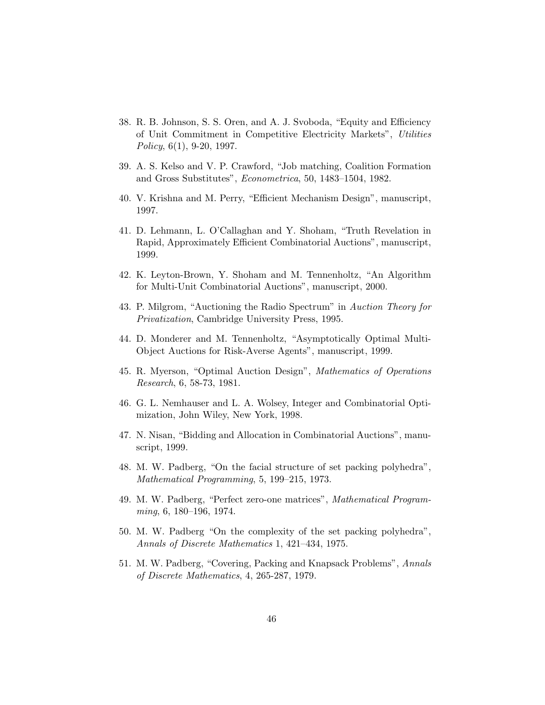- 38. R. B. Johnson, S. S. Oren, and A. J. Svoboda, "Equity and Efficiency of Unit Commitment in Competitive Electricity Markets", Utilities Policy,  $6(1)$ , 9-20, 1997.
- 39. A. S. Kelso and V. P. Crawford, "Job matching, Coalition Formation and Gross Substitutes", Econometrica, 50, 1483–1504, 1982.
- 40. V. Krishna and M. Perry, "Efficient Mechanism Design", manuscript, 1997.
- 41. D. Lehmann, L. O'Callaghan and Y. Shoham, "Truth Revelation in Rapid, Approximately Efficient Combinatorial Auctions", manuscript, 1999.
- 42. K. Leyton-Brown, Y. Shoham and M. Tennenholtz, "An Algorithm for Multi-Unit Combinatorial Auctions", manuscript, 2000.
- 43. P. Milgrom, "Auctioning the Radio Spectrum" in Auction Theory for Privatization, Cambridge University Press, 1995.
- 44. D. Monderer and M. Tennenholtz, "Asymptotically Optimal Multi-Object Auctions for Risk-Averse Agents", manuscript, 1999.
- 45. R. Myerson, "Optimal Auction Design", Mathematics of Operations Research, 6, 58-73, 1981.
- 46. G. L. Nemhauser and L. A. Wolsey, Integer and Combinatorial Optimization, John Wiley, New York, 1998.
- 47. N. Nisan, "Bidding and Allocation in Combinatorial Auctions", manuscript, 1999.
- 48. M. W. Padberg, "On the facial structure of set packing polyhedra", Mathematical Programming, 5, 199–215, 1973.
- 49. M. W. Padberg, "Perfect zero-one matrices", Mathematical Programming, 6, 180–196, 1974.
- 50. M. W. Padberg "On the complexity of the set packing polyhedra", Annals of Discrete Mathematics 1, 421–434, 1975.
- 51. M. W. Padberg, "Covering, Packing and Knapsack Problems", Annals of Discrete Mathematics, 4, 265-287, 1979.